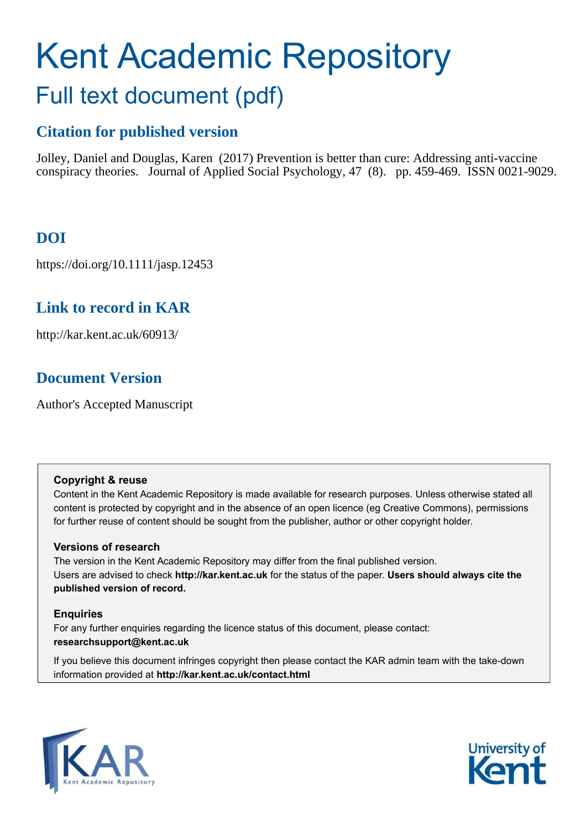# Kent Academic Repository Full text document (pdf)

# **Citation for published version**

Jolley, Daniel and Douglas, Karen (2017) Prevention is better than cure: Addressing anti-vaccine conspiracy theories. Journal of Applied Social Psychology, 47 (8). pp. 459-469. ISSN 0021-9029.

# **DOI**

https://doi.org/10.1111/jasp.12453

# **Link to record in KAR**

http://kar.kent.ac.uk/60913/

# **Document Version**

Author's Accepted Manuscript

## **Copyright & reuse**

Content in the Kent Academic Repository is made available for research purposes. Unless otherwise stated all content is protected by copyright and in the absence of an open licence (eg Creative Commons), permissions for further reuse of content should be sought from the publisher, author or other copyright holder.

## **Versions of research**

The version in the Kent Academic Repository may differ from the final published version. Users are advised to check **http://kar.kent.ac.uk** for the status of the paper. **Users should always cite the published version of record.**

## **Enquiries**

For any further enquiries regarding the licence status of this document, please contact: **researchsupport@kent.ac.uk**

If you believe this document infringes copyright then please contact the KAR admin team with the take-down information provided at **http://kar.kent.ac.uk/contact.html**



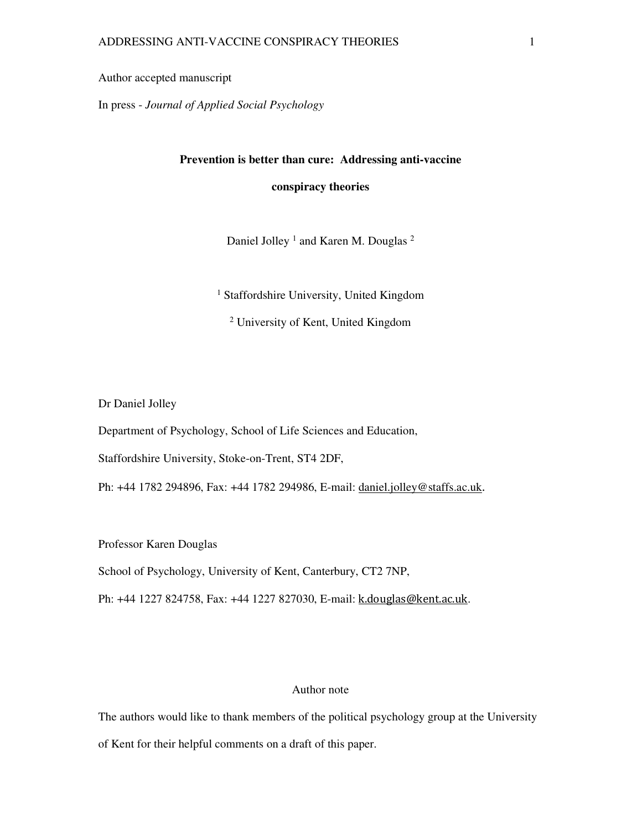Author accepted manuscript

In press - *Journal of Applied Social Psychology*

#### **Prevention is better than cure: Addressing anti-vaccine**

**conspiracy theories** 

Daniel Jolley<sup>1</sup> and Karen M. Douglas<sup>2</sup>

<sup>1</sup> Staffordshire University, United Kingdom

2 University of Kent, United Kingdom

Dr Daniel Jolley

Department of Psychology, School of Life Sciences and Education,

Staffordshire University, Stoke-on-Trent, ST4 2DF,

Ph: +44 1782 294896, Fax: +44 1782 294986, E-mail: daniel.jolley@staffs.ac.uk.

Professor Karen Douglas

School of Psychology, University of Kent, Canterbury, CT2 7NP,

Ph: +44 1227 824758, Fax: +44 1227 827030, E-mail: k.douglas@kent.ac.uk.

### Author note

The authors would like to thank members of the political psychology group at the University of Kent for their helpful comments on a draft of this paper.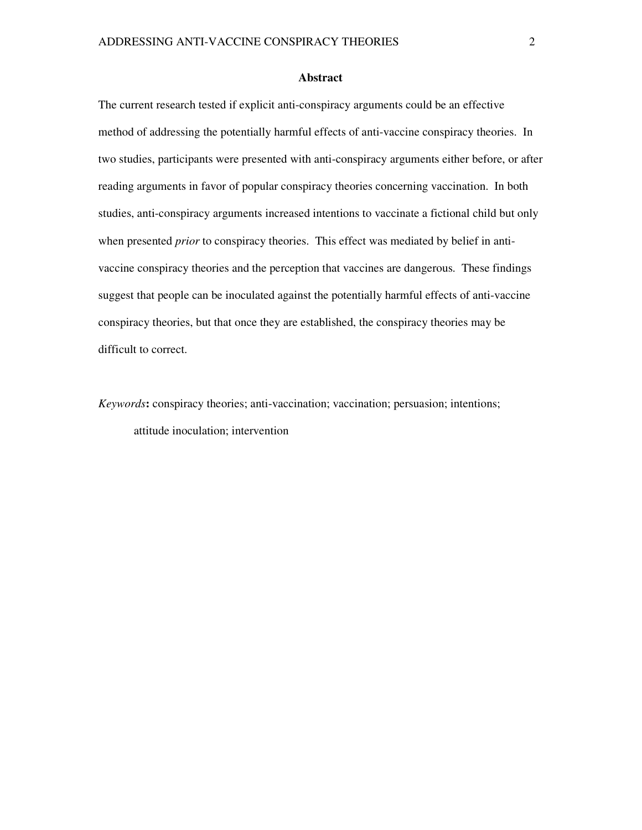#### **Abstract**

The current research tested if explicit anti-conspiracy arguments could be an effective method of addressing the potentially harmful effects of anti-vaccine conspiracy theories. In two studies, participants were presented with anti-conspiracy arguments either before, or after reading arguments in favor of popular conspiracy theories concerning vaccination. In both studies, anti-conspiracy arguments increased intentions to vaccinate a fictional child but only when presented *prior* to conspiracy theories. This effect was mediated by belief in antivaccine conspiracy theories and the perception that vaccines are dangerous. These findings suggest that people can be inoculated against the potentially harmful effects of anti-vaccine conspiracy theories, but that once they are established, the conspiracy theories may be difficult to correct.

*Keywords***:** conspiracy theories; anti-vaccination; vaccination; persuasion; intentions; attitude inoculation; intervention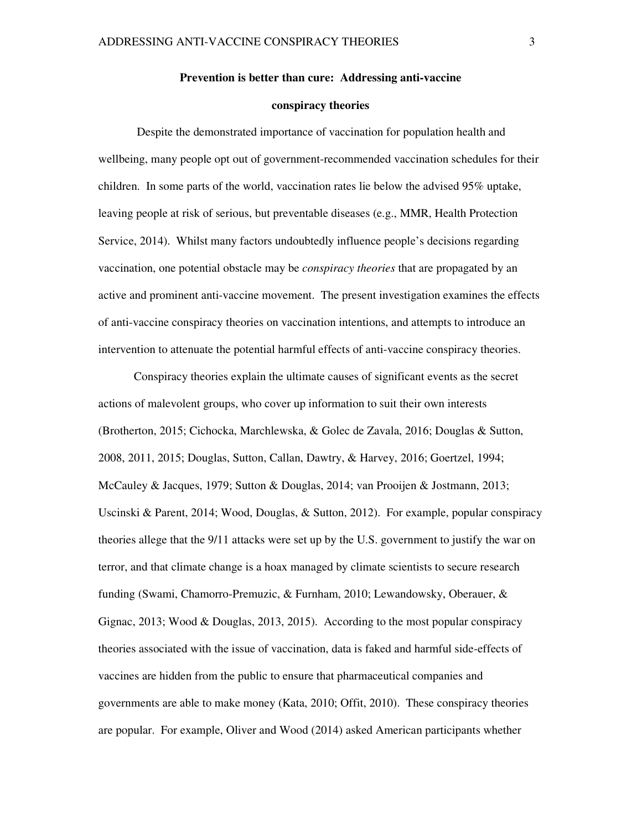#### **Prevention is better than cure: Addressing anti-vaccine**

#### **conspiracy theories**

 Despite the demonstrated importance of vaccination for population health and wellbeing, many people opt out of government-recommended vaccination schedules for their children. In some parts of the world, vaccination rates lie below the advised 95% uptake, leaving people at risk of serious, but preventable diseases (e.g., MMR, Health Protection Service, 2014). Whilst many factors undoubtedly influence people's decisions regarding vaccination, one potential obstacle may be *conspiracy theories* that are propagated by an active and prominent anti-vaccine movement. The present investigation examines the effects of anti-vaccine conspiracy theories on vaccination intentions, and attempts to introduce an intervention to attenuate the potential harmful effects of anti-vaccine conspiracy theories.

Conspiracy theories explain the ultimate causes of significant events as the secret actions of malevolent groups, who cover up information to suit their own interests (Brotherton, 2015; Cichocka, Marchlewska, & Golec de Zavala, 2016; Douglas & Sutton, 2008, 2011, 2015; Douglas, Sutton, Callan, Dawtry, & Harvey, 2016; Goertzel, 1994; McCauley & Jacques, 1979; Sutton & Douglas, 2014; van Prooijen & Jostmann, 2013; Uscinski & Parent, 2014; Wood, Douglas, & Sutton, 2012). For example, popular conspiracy theories allege that the 9/11 attacks were set up by the U.S. government to justify the war on terror, and that climate change is a hoax managed by climate scientists to secure research funding (Swami, Chamorro-Premuzic, & Furnham, 2010; Lewandowsky, Oberauer, & Gignac, 2013; Wood & Douglas, 2013, 2015). According to the most popular conspiracy theories associated with the issue of vaccination, data is faked and harmful side-effects of vaccines are hidden from the public to ensure that pharmaceutical companies and governments are able to make money (Kata, 2010; Offit, 2010). These conspiracy theories are popular. For example, Oliver and Wood (2014) asked American participants whether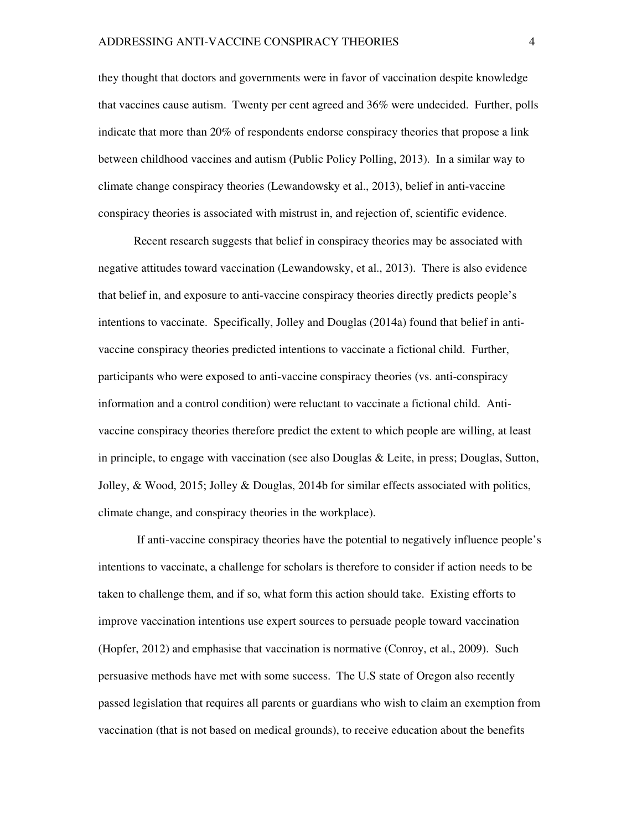they thought that doctors and governments were in favor of vaccination despite knowledge that vaccines cause autism. Twenty per cent agreed and 36% were undecided. Further, polls indicate that more than 20% of respondents endorse conspiracy theories that propose a link between childhood vaccines and autism (Public Policy Polling, 2013). In a similar way to climate change conspiracy theories (Lewandowsky et al., 2013), belief in anti-vaccine conspiracy theories is associated with mistrust in, and rejection of, scientific evidence.

Recent research suggests that belief in conspiracy theories may be associated with negative attitudes toward vaccination (Lewandowsky, et al., 2013). There is also evidence that belief in, and exposure to anti-vaccine conspiracy theories directly predicts people's intentions to vaccinate. Specifically, Jolley and Douglas (2014a) found that belief in antivaccine conspiracy theories predicted intentions to vaccinate a fictional child. Further, participants who were exposed to anti-vaccine conspiracy theories (vs. anti-conspiracy information and a control condition) were reluctant to vaccinate a fictional child. Antivaccine conspiracy theories therefore predict the extent to which people are willing, at least in principle, to engage with vaccination (see also Douglas & Leite, in press; Douglas, Sutton, Jolley, & Wood, 2015; Jolley & Douglas, 2014b for similar effects associated with politics, climate change, and conspiracy theories in the workplace).

 If anti-vaccine conspiracy theories have the potential to negatively influence people's intentions to vaccinate, a challenge for scholars is therefore to consider if action needs to be taken to challenge them, and if so, what form this action should take. Existing efforts to improve vaccination intentions use expert sources to persuade people toward vaccination (Hopfer, 2012) and emphasise that vaccination is normative (Conroy, et al., 2009). Such persuasive methods have met with some success. The U.S state of Oregon also recently passed legislation that requires all parents or guardians who wish to claim an exemption from vaccination (that is not based on medical grounds), to receive education about the benefits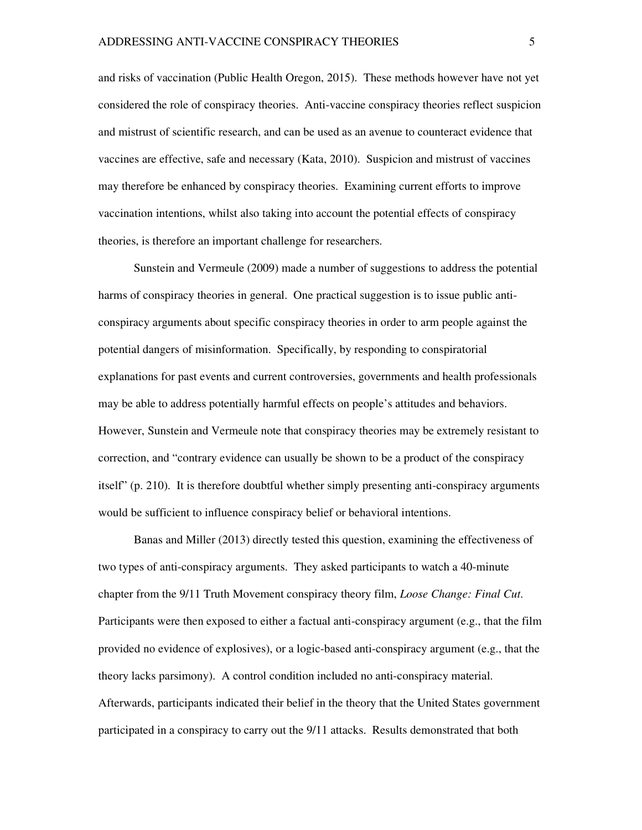and risks of vaccination (Public Health Oregon, 2015). These methods however have not yet considered the role of conspiracy theories. Anti-vaccine conspiracy theories reflect suspicion and mistrust of scientific research, and can be used as an avenue to counteract evidence that vaccines are effective, safe and necessary (Kata, 2010). Suspicion and mistrust of vaccines may therefore be enhanced by conspiracy theories. Examining current efforts to improve vaccination intentions, whilst also taking into account the potential effects of conspiracy theories, is therefore an important challenge for researchers.

Sunstein and Vermeule (2009) made a number of suggestions to address the potential harms of conspiracy theories in general. One practical suggestion is to issue public anticonspiracy arguments about specific conspiracy theories in order to arm people against the potential dangers of misinformation. Specifically, by responding to conspiratorial explanations for past events and current controversies, governments and health professionals may be able to address potentially harmful effects on people's attitudes and behaviors. However, Sunstein and Vermeule note that conspiracy theories may be extremely resistant to correction, and "contrary evidence can usually be shown to be a product of the conspiracy itself" (p. 210). It is therefore doubtful whether simply presenting anti-conspiracy arguments would be sufficient to influence conspiracy belief or behavioral intentions.

Banas and Miller (2013) directly tested this question, examining the effectiveness of two types of anti-conspiracy arguments. They asked participants to watch a 40-minute chapter from the 9/11 Truth Movement conspiracy theory film, *Loose Change: Final Cut*. Participants were then exposed to either a factual anti-conspiracy argument (e.g., that the film provided no evidence of explosives), or a logic-based anti-conspiracy argument (e.g., that the theory lacks parsimony). A control condition included no anti-conspiracy material. Afterwards, participants indicated their belief in the theory that the United States government participated in a conspiracy to carry out the 9/11 attacks. Results demonstrated that both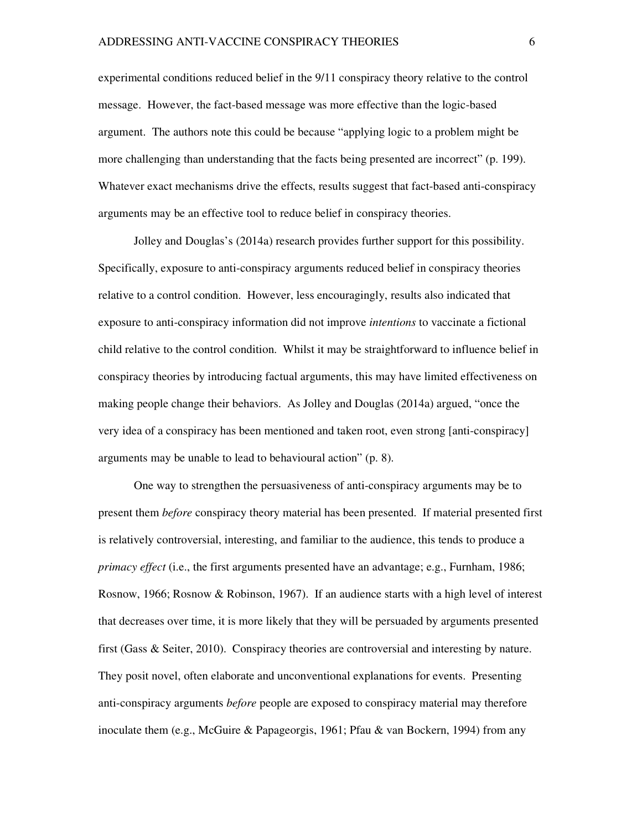experimental conditions reduced belief in the 9/11 conspiracy theory relative to the control message. However, the fact-based message was more effective than the logic-based argument. The authors note this could be because "applying logic to a problem might be more challenging than understanding that the facts being presented are incorrect" (p. 199). Whatever exact mechanisms drive the effects, results suggest that fact-based anti-conspiracy arguments may be an effective tool to reduce belief in conspiracy theories.

Jolley and Douglas's (2014a) research provides further support for this possibility. Specifically, exposure to anti-conspiracy arguments reduced belief in conspiracy theories relative to a control condition. However, less encouragingly, results also indicated that exposure to anti-conspiracy information did not improve *intentions* to vaccinate a fictional child relative to the control condition. Whilst it may be straightforward to influence belief in conspiracy theories by introducing factual arguments, this may have limited effectiveness on making people change their behaviors. As Jolley and Douglas (2014a) argued, "once the very idea of a conspiracy has been mentioned and taken root, even strong [anti-conspiracy] arguments may be unable to lead to behavioural action" (p. 8).

One way to strengthen the persuasiveness of anti-conspiracy arguments may be to present them *before* conspiracy theory material has been presented. If material presented first is relatively controversial, interesting, and familiar to the audience, this tends to produce a *primacy effect* (i.e., the first arguments presented have an advantage; e.g., Furnham, 1986; Rosnow, 1966; Rosnow & Robinson, 1967). If an audience starts with a high level of interest that decreases over time, it is more likely that they will be persuaded by arguments presented first (Gass & Seiter, 2010). Conspiracy theories are controversial and interesting by nature. They posit novel, often elaborate and unconventional explanations for events. Presenting anti-conspiracy arguments *before* people are exposed to conspiracy material may therefore inoculate them (e.g., McGuire & Papageorgis, 1961; Pfau & van Bockern, 1994) from any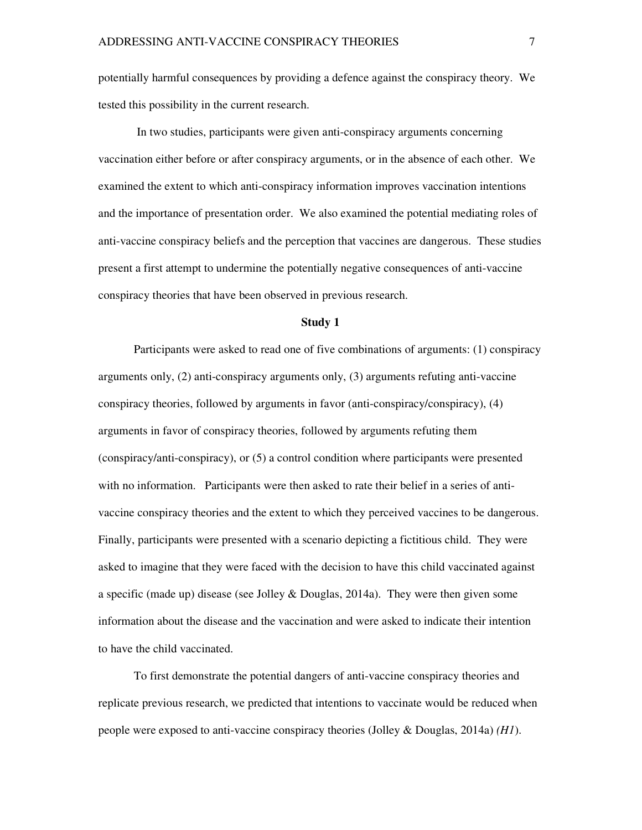potentially harmful consequences by providing a defence against the conspiracy theory. We tested this possibility in the current research.

 In two studies, participants were given anti-conspiracy arguments concerning vaccination either before or after conspiracy arguments, or in the absence of each other. We examined the extent to which anti-conspiracy information improves vaccination intentions and the importance of presentation order. We also examined the potential mediating roles of anti-vaccine conspiracy beliefs and the perception that vaccines are dangerous. These studies present a first attempt to undermine the potentially negative consequences of anti-vaccine conspiracy theories that have been observed in previous research.

#### **Study 1**

Participants were asked to read one of five combinations of arguments: (1) conspiracy arguments only, (2) anti-conspiracy arguments only, (3) arguments refuting anti-vaccine conspiracy theories, followed by arguments in favor (anti-conspiracy/conspiracy), (4) arguments in favor of conspiracy theories, followed by arguments refuting them (conspiracy/anti-conspiracy), or (5) a control condition where participants were presented with no information. Participants were then asked to rate their belief in a series of antivaccine conspiracy theories and the extent to which they perceived vaccines to be dangerous. Finally, participants were presented with a scenario depicting a fictitious child. They were asked to imagine that they were faced with the decision to have this child vaccinated against a specific (made up) disease (see Jolley & Douglas, 2014a). They were then given some information about the disease and the vaccination and were asked to indicate their intention to have the child vaccinated.

To first demonstrate the potential dangers of anti-vaccine conspiracy theories and replicate previous research, we predicted that intentions to vaccinate would be reduced when people were exposed to anti-vaccine conspiracy theories (Jolley & Douglas, 2014a) *(H1*).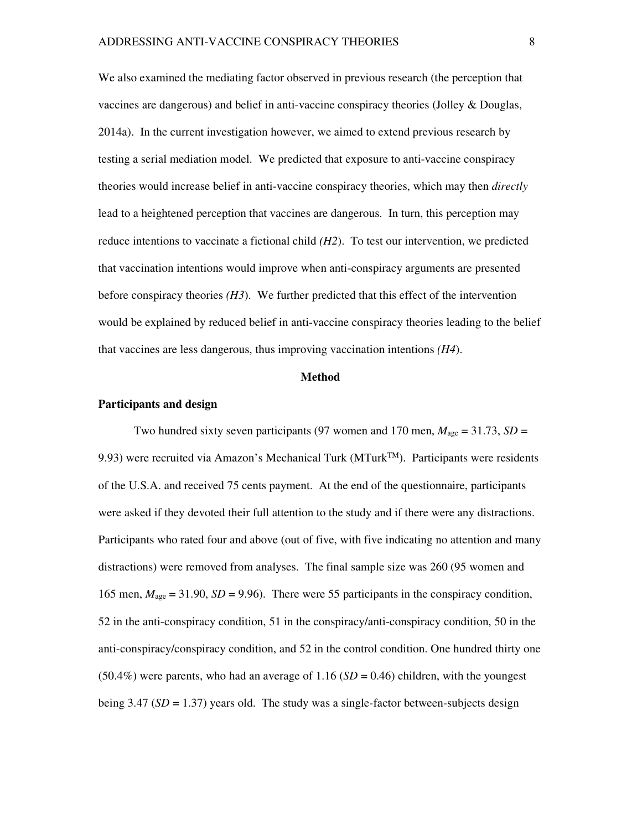We also examined the mediating factor observed in previous research (the perception that vaccines are dangerous) and belief in anti-vaccine conspiracy theories (Jolley & Douglas, 2014a). In the current investigation however, we aimed to extend previous research by testing a serial mediation model. We predicted that exposure to anti-vaccine conspiracy theories would increase belief in anti-vaccine conspiracy theories, which may then *directly* lead to a heightened perception that vaccines are dangerous. In turn, this perception may reduce intentions to vaccinate a fictional child *(H2*). To test our intervention, we predicted that vaccination intentions would improve when anti-conspiracy arguments are presented before conspiracy theories *(H3*). We further predicted that this effect of the intervention would be explained by reduced belief in anti-vaccine conspiracy theories leading to the belief that vaccines are less dangerous, thus improving vaccination intentions *(H4*).

#### **Method**

#### **Participants and design**

Two hundred sixty seven participants (97 women and 170 men,  $M_{\text{age}} = 31.73$ ,  $SD =$ 9.93) were recruited via Amazon's Mechanical Turk (MTurk<sup>TM</sup>). Participants were residents of the U.S.A. and received 75 cents payment. At the end of the questionnaire, participants were asked if they devoted their full attention to the study and if there were any distractions. Participants who rated four and above (out of five, with five indicating no attention and many distractions) were removed from analyses. The final sample size was 260 (95 women and 165 men,  $M<sub>age</sub> = 31.90$ ,  $SD = 9.96$ ). There were 55 participants in the conspiracy condition, 52 in the anti-conspiracy condition, 51 in the conspiracy/anti-conspiracy condition, 50 in the anti-conspiracy/conspiracy condition, and 52 in the control condition. One hundred thirty one  $(50.4\%)$  were parents, who had an average of 1.16  $(SD = 0.46)$  children, with the youngest being  $3.47$  (*SD* = 1.37) years old. The study was a single-factor between-subjects design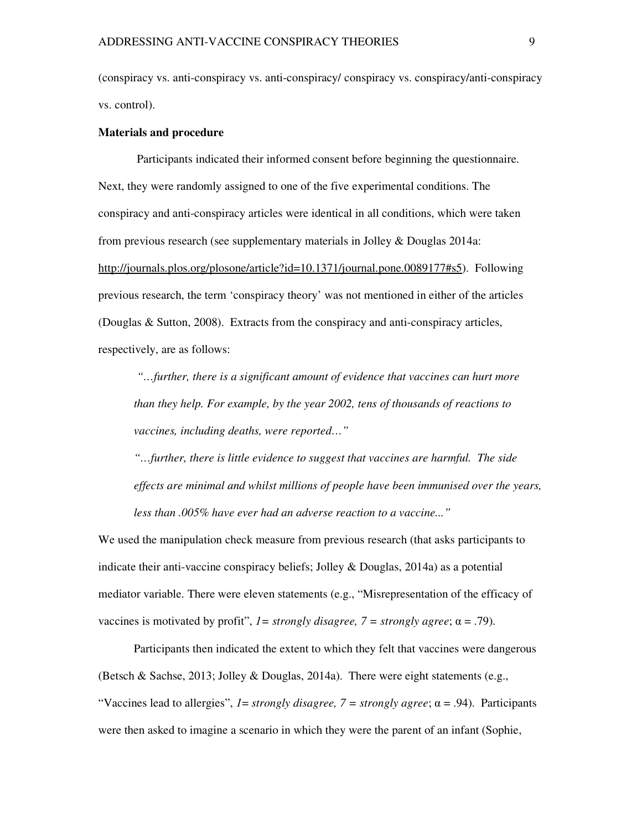(conspiracy vs. anti-conspiracy vs. anti-conspiracy/ conspiracy vs. conspiracy/anti-conspiracy vs. control).

#### **Materials and procedure**

 Participants indicated their informed consent before beginning the questionnaire. Next, they were randomly assigned to one of the five experimental conditions. The conspiracy and anti-conspiracy articles were identical in all conditions, which were taken from previous research (see supplementary materials in Jolley & Douglas 2014a: http://journals.plos.org/plosone/article?id=10.1371/journal.pone.0089177#s5). Following previous research, the term 'conspiracy theory' was not mentioned in either of the articles (Douglas & Sutton, 2008). Extracts from the conspiracy and anti-conspiracy articles, respectively, are as follows:

 *"…further, there is a significant amount of evidence that vaccines can hurt more than they help. For example, by the year 2002, tens of thousands of reactions to vaccines, including deaths, were reported…"* 

*"…further, there is little evidence to suggest that vaccines are harmful. The side effects are minimal and whilst millions of people have been immunised over the years, less than .005% have ever had an adverse reaction to a vaccine..."* 

We used the manipulation check measure from previous research (that asks participants to indicate their anti-vaccine conspiracy beliefs; Jolley & Douglas, 2014a) as a potential mediator variable. There were eleven statements (e.g., "Misrepresentation of the efficacy of vaccines is motivated by profit",  $I =$  *strongly disagree,*  $7 =$  *strongly agree*;  $\alpha = .79$ ).

Participants then indicated the extent to which they felt that vaccines were dangerous (Betsch & Sachse, 2013; Jolley & Douglas, 2014a). There were eight statements (e.g., "Vaccines lead to allergies", *1*= *strongly disagree, 7 = strongly agree*; α = .94). Participants were then asked to imagine a scenario in which they were the parent of an infant (Sophie,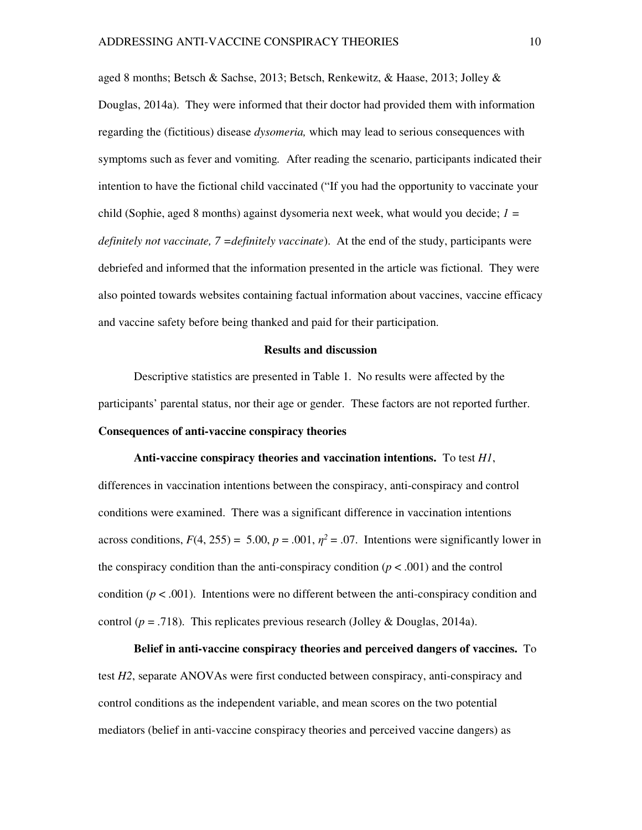aged 8 months; Betsch & Sachse, 2013; Betsch, Renkewitz, & Haase, 2013; Jolley & Douglas, 2014a). They were informed that their doctor had provided them with information regarding the (fictitious) disease *dysomeria,* which may lead to serious consequences with symptoms such as fever and vomiting*.* After reading the scenario, participants indicated their intention to have the fictional child vaccinated ("If you had the opportunity to vaccinate your child (Sophie, aged 8 months) against dysomeria next week, what would you decide; *1 = definitely not vaccinate, 7 =definitely vaccinate*). At the end of the study, participants were debriefed and informed that the information presented in the article was fictional. They were also pointed towards websites containing factual information about vaccines, vaccine efficacy and vaccine safety before being thanked and paid for their participation.

#### **Results and discussion**

Descriptive statistics are presented in Table 1. No results were affected by the participants' parental status, nor their age or gender. These factors are not reported further. **Consequences of anti-vaccine conspiracy theories** 

**Anti-vaccine conspiracy theories and vaccination intentions.** To test *H1*, differences in vaccination intentions between the conspiracy, anti-conspiracy and control conditions were examined. There was a significant difference in vaccination intentions across conditions,  $F(4, 255) = 5.00$ ,  $p = .001$ ,  $\eta^2 = .07$ . Intentions were significantly lower in the conspiracy condition than the anti-conspiracy condition  $(p < .001)$  and the control condition  $(p < .001)$ . Intentions were no different between the anti-conspiracy condition and control ( $p = .718$ ). This replicates previous research (Jolley & Douglas, 2014a).

**Belief in anti-vaccine conspiracy theories and perceived dangers of vaccines.**To test *H2*, separate ANOVAs were first conducted between conspiracy, anti-conspiracy and control conditions as the independent variable, and mean scores on the two potential mediators (belief in anti-vaccine conspiracy theories and perceived vaccine dangers) as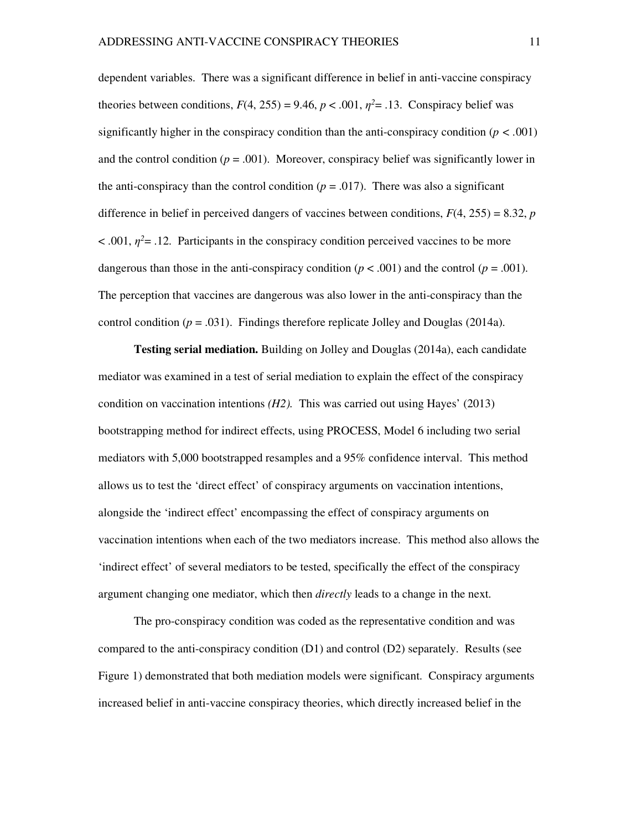dependent variables. There was a significant difference in belief in anti-vaccine conspiracy theories between conditions,  $F(4, 255) = 9.46$ ,  $p < .001$ ,  $\eta^2 = .13$ . Conspiracy belief was significantly higher in the conspiracy condition than the anti-conspiracy condition (*p < .*001) and the control condition  $(p = .001)$ . Moreover, conspiracy belief was significantly lower in the anti-conspiracy than the control condition  $(p = .017)$ . There was also a significant difference in belief in perceived dangers of vaccines between conditions,  $F(4, 255) = 8.32$ , *p*  $< .001, \eta^2 = .12$ . Participants in the conspiracy condition perceived vaccines to be more dangerous than those in the anti-conspiracy condition ( $p < .001$ ) and the control ( $p = .001$ ). The perception that vaccines are dangerous was also lower in the anti-conspiracy than the control condition ( $p = .031$ ). Findings therefore replicate Jolley and Douglas (2014a).

**Testing serial mediation.** Building on Jolley and Douglas (2014a), each candidate mediator was examined in a test of serial mediation to explain the effect of the conspiracy condition on vaccination intentions *(H2).* This was carried out using Hayes' (2013) bootstrapping method for indirect effects, using PROCESS, Model 6 including two serial mediators with 5,000 bootstrapped resamples and a 95% confidence interval. This method allows us to test the 'direct effect' of conspiracy arguments on vaccination intentions, alongside the 'indirect effect' encompassing the effect of conspiracy arguments on vaccination intentions when each of the two mediators increase. This method also allows the 'indirect effect' of several mediators to be tested, specifically the effect of the conspiracy argument changing one mediator, which then *directly* leads to a change in the next.

The pro-conspiracy condition was coded as the representative condition and was compared to the anti-conspiracy condition (D1) and control (D2) separately. Results (see Figure 1) demonstrated that both mediation models were significant. Conspiracy arguments increased belief in anti-vaccine conspiracy theories, which directly increased belief in the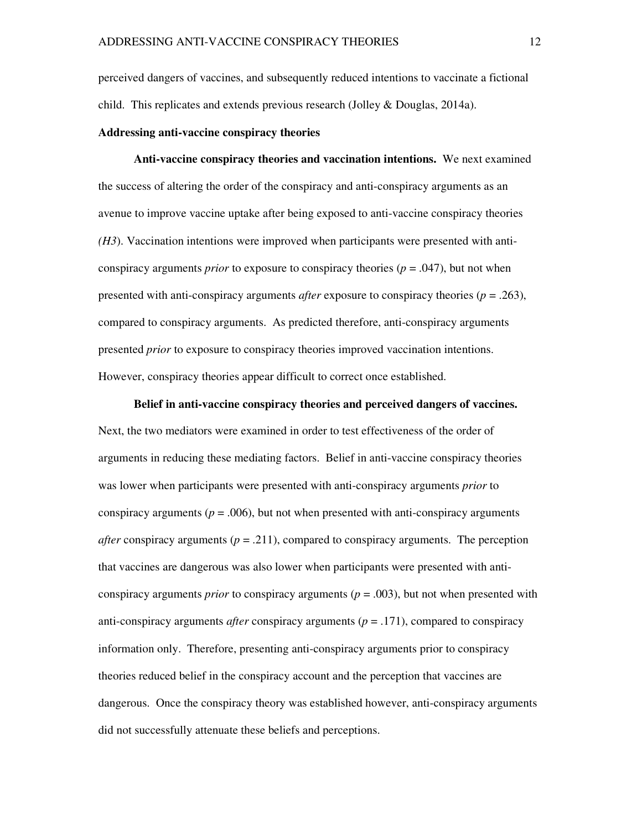perceived dangers of vaccines, and subsequently reduced intentions to vaccinate a fictional child. This replicates and extends previous research (Jolley & Douglas, 2014a).

#### **Addressing anti-vaccine conspiracy theories**

**Anti-vaccine conspiracy theories and vaccination intentions.** We next examined the success of altering the order of the conspiracy and anti-conspiracy arguments as an avenue to improve vaccine uptake after being exposed to anti-vaccine conspiracy theories *(H3*). Vaccination intentions were improved when participants were presented with anticonspiracy arguments *prior* to exposure to conspiracy theories ( $p = .047$ ), but not when presented with anti-conspiracy arguments *after* exposure to conspiracy theories (*p* = .263), compared to conspiracy arguments. As predicted therefore, anti-conspiracy arguments presented *prior* to exposure to conspiracy theories improved vaccination intentions. However, conspiracy theories appear difficult to correct once established.

**Belief in anti-vaccine conspiracy theories and perceived dangers of vaccines.**  Next, the two mediators were examined in order to test effectiveness of the order of arguments in reducing these mediating factors. Belief in anti-vaccine conspiracy theories was lower when participants were presented with anti-conspiracy arguments *prior* to conspiracy arguments ( $p = .006$ ), but not when presented with anti-conspiracy arguments *after* conspiracy arguments ( $p = .211$ ), compared to conspiracy arguments. The perception that vaccines are dangerous was also lower when participants were presented with anticonspiracy arguments *prior* to conspiracy arguments ( $p = .003$ ), but not when presented with anti-conspiracy arguments *after* conspiracy arguments ( $p = .171$ ), compared to conspiracy information only. Therefore, presenting anti-conspiracy arguments prior to conspiracy theories reduced belief in the conspiracy account and the perception that vaccines are dangerous. Once the conspiracy theory was established however, anti-conspiracy arguments did not successfully attenuate these beliefs and perceptions.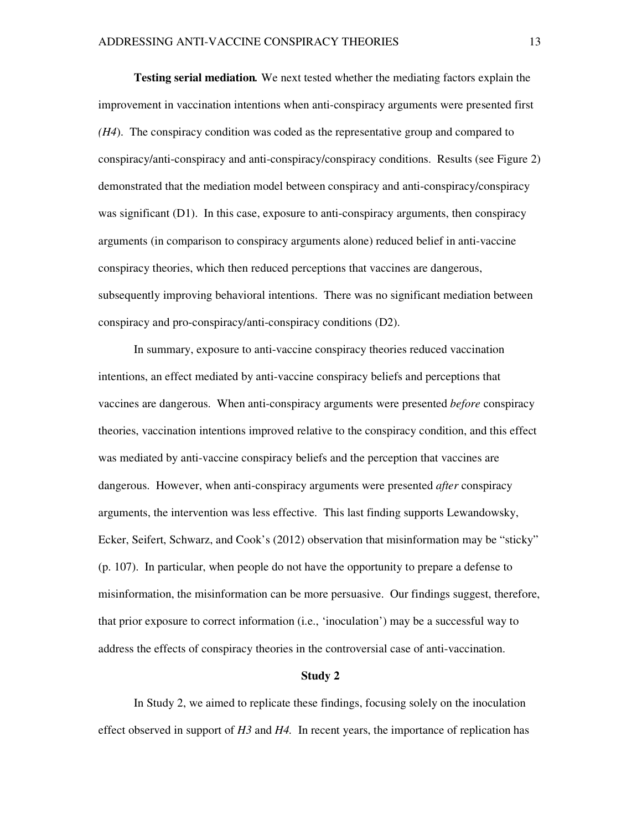**Testing serial mediation***.* We next tested whether the mediating factors explain the improvement in vaccination intentions when anti-conspiracy arguments were presented first *(H4*). The conspiracy condition was coded as the representative group and compared to conspiracy/anti-conspiracy and anti-conspiracy/conspiracy conditions. Results (see Figure 2) demonstrated that the mediation model between conspiracy and anti-conspiracy/conspiracy was significant (D1). In this case, exposure to anti-conspiracy arguments, then conspiracy arguments (in comparison to conspiracy arguments alone) reduced belief in anti-vaccine conspiracy theories, which then reduced perceptions that vaccines are dangerous, subsequently improving behavioral intentions. There was no significant mediation between conspiracy and pro-conspiracy/anti-conspiracy conditions (D2).

In summary, exposure to anti-vaccine conspiracy theories reduced vaccination intentions, an effect mediated by anti-vaccine conspiracy beliefs and perceptions that vaccines are dangerous. When anti-conspiracy arguments were presented *before* conspiracy theories, vaccination intentions improved relative to the conspiracy condition, and this effect was mediated by anti-vaccine conspiracy beliefs and the perception that vaccines are dangerous. However, when anti-conspiracy arguments were presented *after* conspiracy arguments, the intervention was less effective. This last finding supports Lewandowsky, Ecker, Seifert, Schwarz, and Cook's (2012) observation that misinformation may be "sticky" (p. 107). In particular, when people do not have the opportunity to prepare a defense to misinformation, the misinformation can be more persuasive. Our findings suggest, therefore, that prior exposure to correct information (i.e., 'inoculation') may be a successful way to address the effects of conspiracy theories in the controversial case of anti-vaccination.

#### **Study 2**

In Study 2, we aimed to replicate these findings, focusing solely on the inoculation effect observed in support of *H3* and *H4.* In recent years, the importance of replication has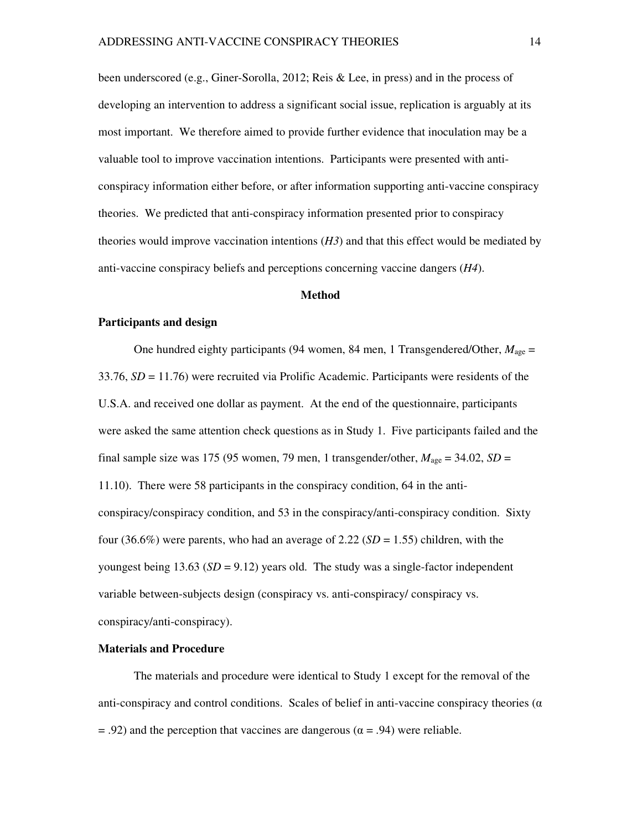been underscored (e.g., Giner-Sorolla, 2012; Reis & Lee, in press) and in the process of developing an intervention to address a significant social issue, replication is arguably at its most important. We therefore aimed to provide further evidence that inoculation may be a valuable tool to improve vaccination intentions. Participants were presented with anticonspiracy information either before, or after information supporting anti-vaccine conspiracy theories. We predicted that anti-conspiracy information presented prior to conspiracy theories would improve vaccination intentions (*H3*) and that this effect would be mediated by anti-vaccine conspiracy beliefs and perceptions concerning vaccine dangers (*H4*).

#### **Method**

#### **Participants and design**

One hundred eighty participants (94 women, 84 men, 1 Transgendered/Other, *M*age = 33.76, *SD* = 11.76) were recruited via Prolific Academic. Participants were residents of the U.S.A. and received one dollar as payment. At the end of the questionnaire, participants were asked the same attention check questions as in Study 1. Five participants failed and the final sample size was 175 (95 women, 79 men, 1 transgender/other,  $M_{\text{age}} = 34.02$ ,  $SD =$ 11.10). There were 58 participants in the conspiracy condition, 64 in the anticonspiracy/conspiracy condition, and 53 in the conspiracy/anti-conspiracy condition. Sixty four  $(36.6%)$  were parents, who had an average of  $2.22$  (*SD* = 1.55) children, with the youngest being  $13.63$  ( $SD = 9.12$ ) years old. The study was a single-factor independent variable between-subjects design (conspiracy vs. anti-conspiracy/ conspiracy vs. conspiracy/anti-conspiracy).

#### **Materials and Procedure**

The materials and procedure were identical to Study 1 except for the removal of the anti-conspiracy and control conditions. Scales of belief in anti-vaccine conspiracy theories ( $\alpha$ )  $= .92$ ) and the perception that vaccines are dangerous ( $\alpha = .94$ ) were reliable.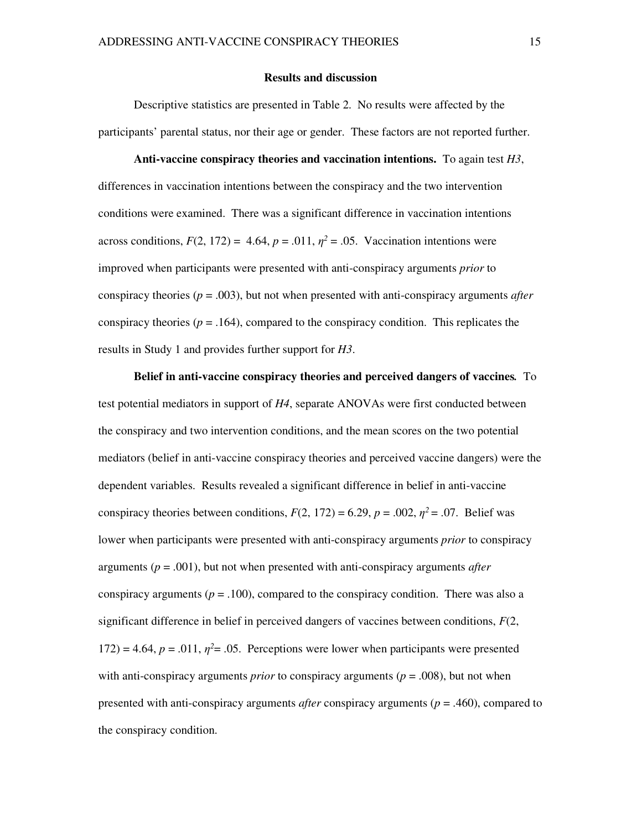#### **Results and discussion**

Descriptive statistics are presented in Table 2. No results were affected by the participants' parental status, nor their age or gender. These factors are not reported further.

#### **Anti-vaccine conspiracy theories and vaccination intentions.** To again test *H3*,

differences in vaccination intentions between the conspiracy and the two intervention conditions were examined. There was a significant difference in vaccination intentions across conditions,  $F(2, 172) = 4.64$ ,  $p = .011$ ,  $\eta^2 = .05$ . Vaccination intentions were improved when participants were presented with anti-conspiracy arguments *prior* to conspiracy theories ( $p = .003$ ), but not when presented with anti-conspiracy arguments *after* conspiracy theories ( $p = .164$ ), compared to the conspiracy condition. This replicates the results in Study 1 and provides further support for *H3*.

**Belief in anti-vaccine conspiracy theories and perceived dangers of vaccines***.* To test potential mediators in support of *H4*, separate ANOVAs were first conducted between the conspiracy and two intervention conditions, and the mean scores on the two potential mediators (belief in anti-vaccine conspiracy theories and perceived vaccine dangers) were the dependent variables. Results revealed a significant difference in belief in anti-vaccine conspiracy theories between conditions,  $F(2, 172) = 6.29$ ,  $p = .002$ ,  $\eta^2 = .07$ . Belief was lower when participants were presented with anti-conspiracy arguments *prior* to conspiracy arguments (*p* = .001), but not when presented with anti-conspiracy arguments *after* conspiracy arguments ( $p = .100$ ), compared to the conspiracy condition. There was also a significant difference in belief in perceived dangers of vaccines between conditions,  $F(2)$ ,  $172$ ) = 4.64,  $p = .011$ ,  $\eta^2 = .05$ . Perceptions were lower when participants were presented with anti-conspiracy arguments *prior* to conspiracy arguments ( $p = .008$ ), but not when presented with anti-conspiracy arguments *after* conspiracy arguments (*p* = .460), compared to the conspiracy condition.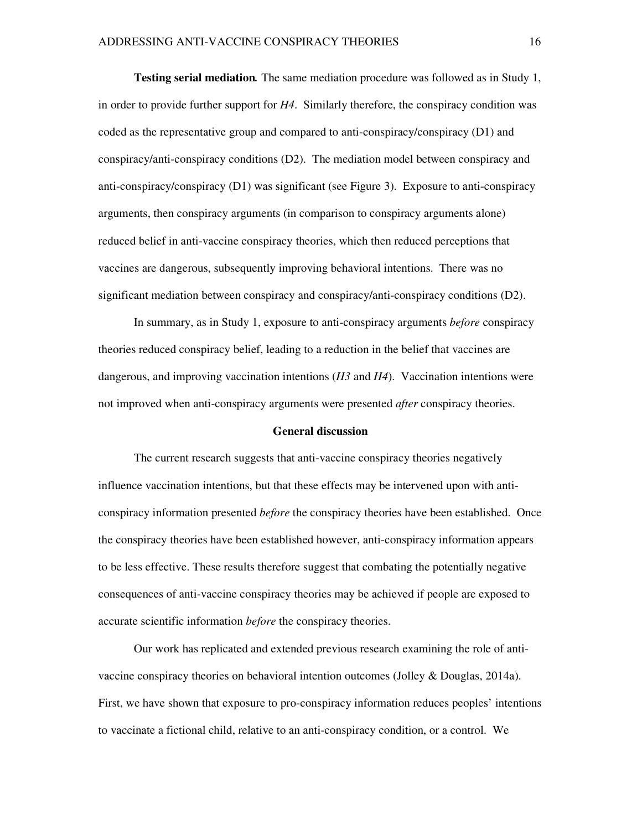**Testing serial mediation***.* The same mediation procedure was followed as in Study 1, in order to provide further support for *H4*. Similarly therefore, the conspiracy condition was coded as the representative group and compared to anti-conspiracy/conspiracy (D1) and conspiracy/anti-conspiracy conditions (D2). The mediation model between conspiracy and anti-conspiracy/conspiracy (D1) was significant (see Figure 3). Exposure to anti-conspiracy arguments, then conspiracy arguments (in comparison to conspiracy arguments alone) reduced belief in anti-vaccine conspiracy theories, which then reduced perceptions that vaccines are dangerous, subsequently improving behavioral intentions. There was no significant mediation between conspiracy and conspiracy/anti-conspiracy conditions (D2).

In summary, as in Study 1, exposure to anti-conspiracy arguments *before* conspiracy theories reduced conspiracy belief, leading to a reduction in the belief that vaccines are dangerous, and improving vaccination intentions (*H3* and *H4*). Vaccination intentions were not improved when anti-conspiracy arguments were presented *after* conspiracy theories.

#### **General discussion**

The current research suggests that anti-vaccine conspiracy theories negatively influence vaccination intentions, but that these effects may be intervened upon with anticonspiracy information presented *before* the conspiracy theories have been established. Once the conspiracy theories have been established however, anti-conspiracy information appears to be less effective. These results therefore suggest that combating the potentially negative consequences of anti-vaccine conspiracy theories may be achieved if people are exposed to accurate scientific information *before* the conspiracy theories.

Our work has replicated and extended previous research examining the role of antivaccine conspiracy theories on behavioral intention outcomes (Jolley & Douglas, 2014a). First, we have shown that exposure to pro-conspiracy information reduces peoples' intentions to vaccinate a fictional child, relative to an anti-conspiracy condition, or a control. We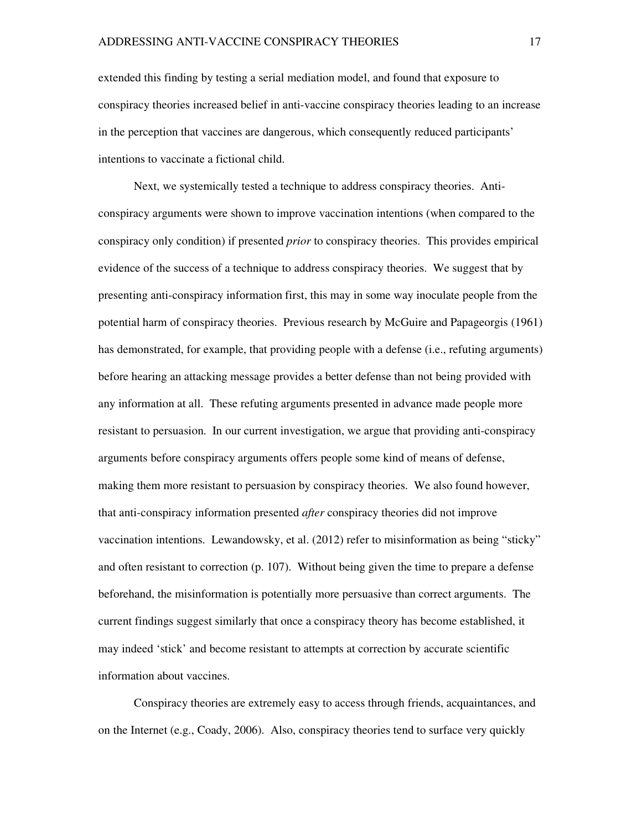extended this finding by testing a serial mediation model, and found that exposure to conspiracy theories increased belief in anti-vaccine conspiracy theories leading to an increase in the perception that vaccines are dangerous, which consequently reduced participants' intentions to vaccinate a fictional child.

Next, we systemically tested a technique to address conspiracy theories. Anticonspiracy arguments were shown to improve vaccination intentions (when compared to the conspiracy only condition) if presented *prior* to conspiracy theories. This provides empirical evidence of the success of a technique to address conspiracy theories. We suggest that by presenting anti-conspiracy information first, this may in some way inoculate people from the potential harm of conspiracy theories. Previous research by McGuire and Papageorgis (1961) has demonstrated, for example, that providing people with a defense (i.e., refuting arguments) before hearing an attacking message provides a better defense than not being provided with any information at all. These refuting arguments presented in advance made people more resistant to persuasion. In our current investigation, we argue that providing anti-conspiracy arguments before conspiracy arguments offers people some kind of means of defense, making them more resistant to persuasion by conspiracy theories. We also found however, that anti-conspiracy information presented *after* conspiracy theories did not improve vaccination intentions. Lewandowsky, et al. (2012) refer to misinformation as being "sticky" and often resistant to correction (p. 107). Without being given the time to prepare a defense beforehand, the misinformation is potentially more persuasive than correct arguments. The current findings suggest similarly that once a conspiracy theory has become established, it may indeed 'stick' and become resistant to attempts at correction by accurate scientific information about vaccines.

Conspiracy theories are extremely easy to access through friends, acquaintances, and on the Internet (e.g., Coady, 2006). Also, conspiracy theories tend to surface very quickly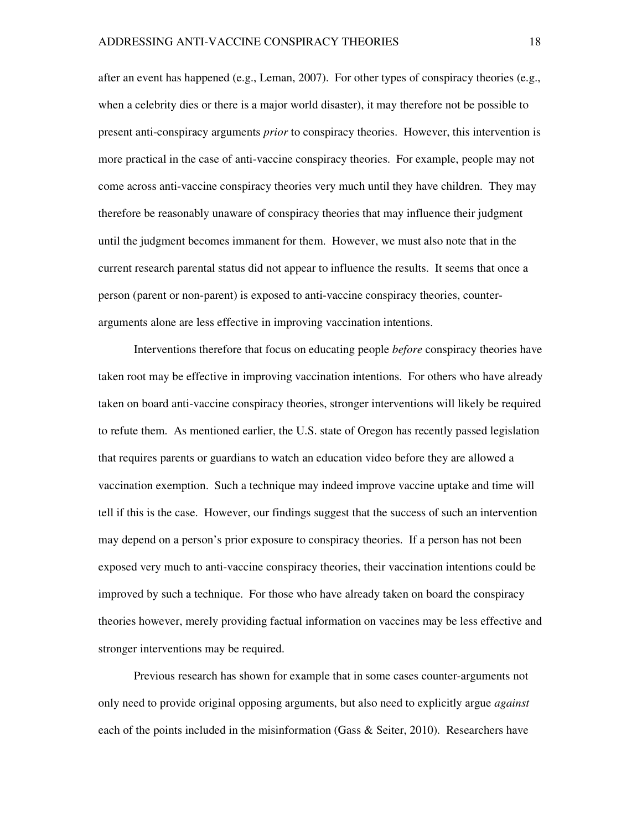after an event has happened (e.g., Leman, 2007). For other types of conspiracy theories (e.g., when a celebrity dies or there is a major world disaster), it may therefore not be possible to present anti-conspiracy arguments *prior* to conspiracy theories. However, this intervention is more practical in the case of anti-vaccine conspiracy theories. For example, people may not come across anti-vaccine conspiracy theories very much until they have children. They may therefore be reasonably unaware of conspiracy theories that may influence their judgment until the judgment becomes immanent for them. However, we must also note that in the current research parental status did not appear to influence the results. It seems that once a person (parent or non-parent) is exposed to anti-vaccine conspiracy theories, counterarguments alone are less effective in improving vaccination intentions.

Interventions therefore that focus on educating people *before* conspiracy theories have taken root may be effective in improving vaccination intentions. For others who have already taken on board anti-vaccine conspiracy theories, stronger interventions will likely be required to refute them. As mentioned earlier, the U.S. state of Oregon has recently passed legislation that requires parents or guardians to watch an education video before they are allowed a vaccination exemption. Such a technique may indeed improve vaccine uptake and time will tell if this is the case. However, our findings suggest that the success of such an intervention may depend on a person's prior exposure to conspiracy theories. If a person has not been exposed very much to anti-vaccine conspiracy theories, their vaccination intentions could be improved by such a technique. For those who have already taken on board the conspiracy theories however, merely providing factual information on vaccines may be less effective and stronger interventions may be required.

Previous research has shown for example that in some cases counter-arguments not only need to provide original opposing arguments, but also need to explicitly argue *against* each of the points included in the misinformation (Gass & Seiter, 2010). Researchers have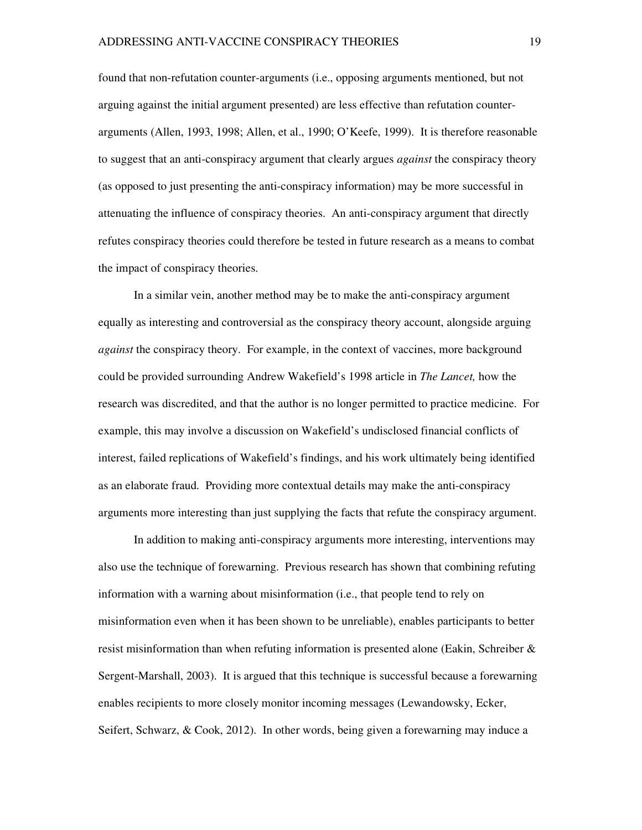found that non-refutation counter-arguments (i.e., opposing arguments mentioned, but not arguing against the initial argument presented) are less effective than refutation counterarguments (Allen, 1993, 1998; Allen, et al., 1990; O'Keefe, 1999). It is therefore reasonable to suggest that an anti-conspiracy argument that clearly argues *against* the conspiracy theory (as opposed to just presenting the anti-conspiracy information) may be more successful in attenuating the influence of conspiracy theories. An anti-conspiracy argument that directly refutes conspiracy theories could therefore be tested in future research as a means to combat the impact of conspiracy theories.

In a similar vein, another method may be to make the anti-conspiracy argument equally as interesting and controversial as the conspiracy theory account, alongside arguing *against* the conspiracy theory. For example, in the context of vaccines, more background could be provided surrounding Andrew Wakefield's 1998 article in *The Lancet,* how the research was discredited, and that the author is no longer permitted to practice medicine. For example, this may involve a discussion on Wakefield's undisclosed financial conflicts of interest, failed replications of Wakefield's findings, and his work ultimately being identified as an elaborate fraud. Providing more contextual details may make the anti-conspiracy arguments more interesting than just supplying the facts that refute the conspiracy argument.

In addition to making anti-conspiracy arguments more interesting, interventions may also use the technique of forewarning. Previous research has shown that combining refuting information with a warning about misinformation (i.e., that people tend to rely on misinformation even when it has been shown to be unreliable), enables participants to better resist misinformation than when refuting information is presented alone (Eakin, Schreiber & Sergent-Marshall, 2003). It is argued that this technique is successful because a forewarning enables recipients to more closely monitor incoming messages (Lewandowsky, Ecker, Seifert, Schwarz, & Cook, 2012). In other words, being given a forewarning may induce a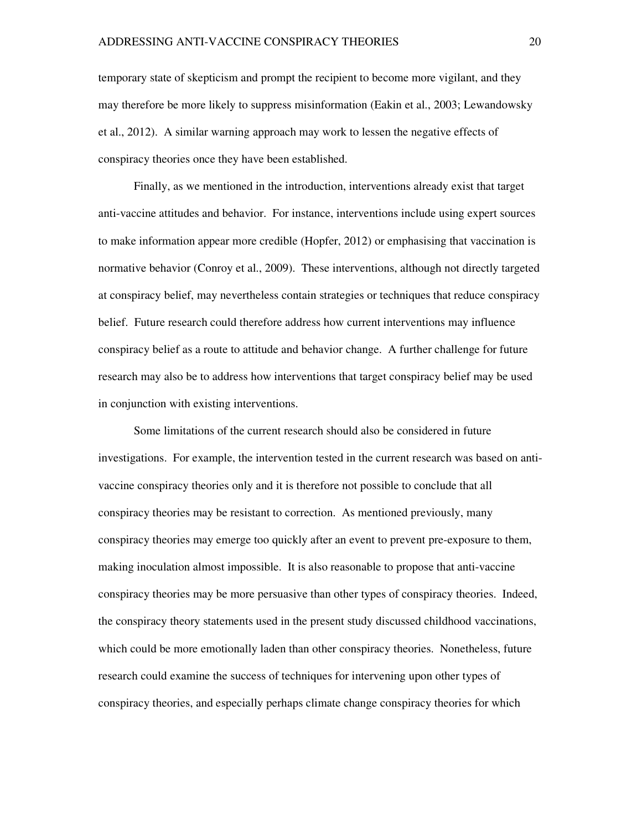temporary state of skepticism and prompt the recipient to become more vigilant, and they may therefore be more likely to suppress misinformation (Eakin et al., 2003; Lewandowsky et al., 2012). A similar warning approach may work to lessen the negative effects of conspiracy theories once they have been established.

Finally, as we mentioned in the introduction, interventions already exist that target anti-vaccine attitudes and behavior. For instance, interventions include using expert sources to make information appear more credible (Hopfer, 2012) or emphasising that vaccination is normative behavior (Conroy et al., 2009). These interventions, although not directly targeted at conspiracy belief, may nevertheless contain strategies or techniques that reduce conspiracy belief. Future research could therefore address how current interventions may influence conspiracy belief as a route to attitude and behavior change. A further challenge for future research may also be to address how interventions that target conspiracy belief may be used in conjunction with existing interventions.

Some limitations of the current research should also be considered in future investigations. For example, the intervention tested in the current research was based on antivaccine conspiracy theories only and it is therefore not possible to conclude that all conspiracy theories may be resistant to correction. As mentioned previously, many conspiracy theories may emerge too quickly after an event to prevent pre-exposure to them, making inoculation almost impossible. It is also reasonable to propose that anti-vaccine conspiracy theories may be more persuasive than other types of conspiracy theories. Indeed, the conspiracy theory statements used in the present study discussed childhood vaccinations, which could be more emotionally laden than other conspiracy theories. Nonetheless, future research could examine the success of techniques for intervening upon other types of conspiracy theories, and especially perhaps climate change conspiracy theories for which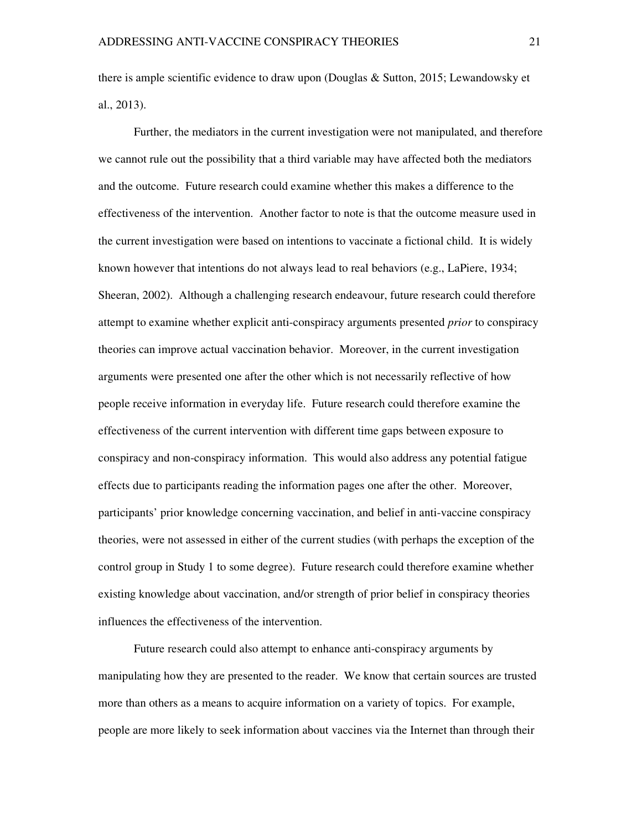there is ample scientific evidence to draw upon (Douglas & Sutton, 2015; Lewandowsky et al., 2013).

Further, the mediators in the current investigation were not manipulated, and therefore we cannot rule out the possibility that a third variable may have affected both the mediators and the outcome. Future research could examine whether this makes a difference to the effectiveness of the intervention. Another factor to note is that the outcome measure used in the current investigation were based on intentions to vaccinate a fictional child. It is widely known however that intentions do not always lead to real behaviors (e.g., LaPiere, 1934; Sheeran, 2002). Although a challenging research endeavour, future research could therefore attempt to examine whether explicit anti-conspiracy arguments presented *prior* to conspiracy theories can improve actual vaccination behavior. Moreover, in the current investigation arguments were presented one after the other which is not necessarily reflective of how people receive information in everyday life. Future research could therefore examine the effectiveness of the current intervention with different time gaps between exposure to conspiracy and non-conspiracy information. This would also address any potential fatigue effects due to participants reading the information pages one after the other. Moreover, participants' prior knowledge concerning vaccination, and belief in anti-vaccine conspiracy theories, were not assessed in either of the current studies (with perhaps the exception of the control group in Study 1 to some degree). Future research could therefore examine whether existing knowledge about vaccination, and/or strength of prior belief in conspiracy theories influences the effectiveness of the intervention.

Future research could also attempt to enhance anti-conspiracy arguments by manipulating how they are presented to the reader. We know that certain sources are trusted more than others as a means to acquire information on a variety of topics. For example, people are more likely to seek information about vaccines via the Internet than through their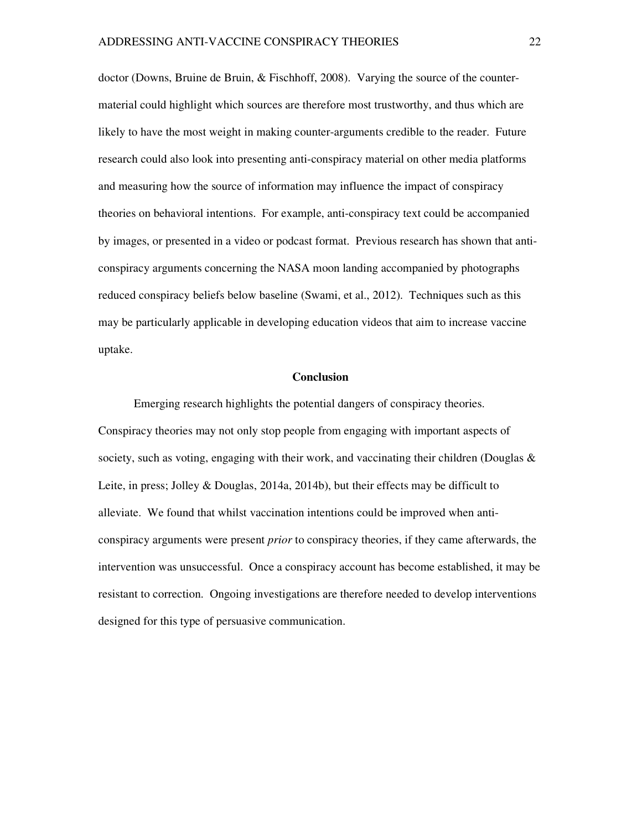doctor (Downs, Bruine de Bruin, & Fischhoff, 2008). Varying the source of the countermaterial could highlight which sources are therefore most trustworthy, and thus which are likely to have the most weight in making counter-arguments credible to the reader. Future research could also look into presenting anti-conspiracy material on other media platforms and measuring how the source of information may influence the impact of conspiracy theories on behavioral intentions. For example, anti-conspiracy text could be accompanied by images, or presented in a video or podcast format. Previous research has shown that anticonspiracy arguments concerning the NASA moon landing accompanied by photographs reduced conspiracy beliefs below baseline (Swami, et al., 2012). Techniques such as this may be particularly applicable in developing education videos that aim to increase vaccine uptake.

#### **Conclusion**

Emerging research highlights the potential dangers of conspiracy theories. Conspiracy theories may not only stop people from engaging with important aspects of society, such as voting, engaging with their work, and vaccinating their children (Douglas  $\&$ Leite, in press; Jolley & Douglas, 2014a, 2014b), but their effects may be difficult to alleviate. We found that whilst vaccination intentions could be improved when anticonspiracy arguments were present *prior* to conspiracy theories, if they came afterwards, the intervention was unsuccessful. Once a conspiracy account has become established, it may be resistant to correction. Ongoing investigations are therefore needed to develop interventions designed for this type of persuasive communication.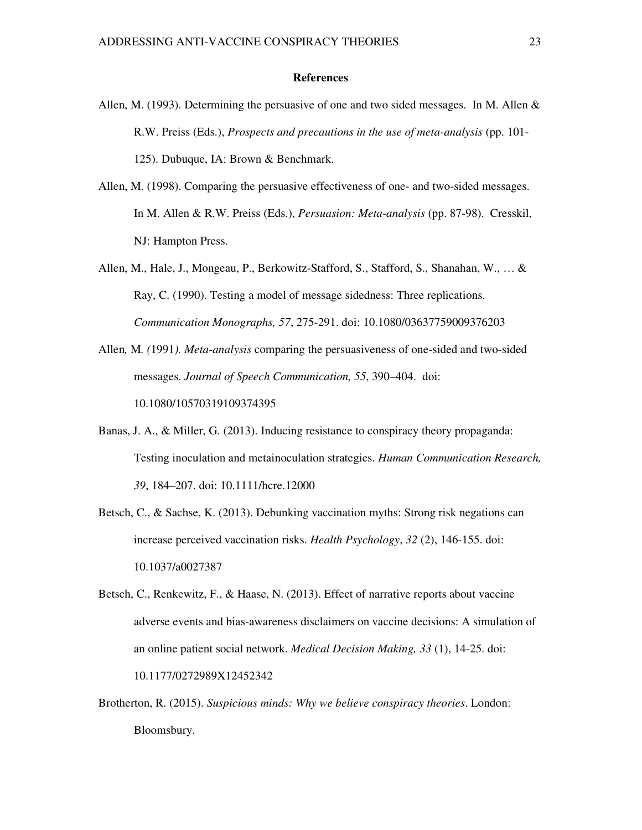#### **References**

- Allen, M. (1993). Determining the persuasive of one and two sided messages. In M. Allen  $\&$ R.W. Preiss (Eds.), *Prospects and precautions in the use of meta-analysis* (pp. 101- 125). Dubuque, IA: Brown & Benchmark.
- Allen, M. (1998). Comparing the persuasive effectiveness of one- and two-sided messages. In M. Allen & R.W. Preiss (Eds.), *Persuasion: Meta-analysis* (pp. 87-98). Cresskil, NJ: Hampton Press.
- Allen, M., Hale, J., Mongeau, P., Berkowitz-Stafford, S., Stafford, S., Shanahan, W., … & Ray, C. (1990). Testing a model of message sidedness: Three replications. *Communication Monographs, 57*, 275-291. doi: 10.1080/03637759009376203
- Allen*,* M*. (*1991*). Meta-analysis* comparing the persuasiveness of one*-*sided and two-sided messages. *Journal of Speech Communication, 55*, 390–404. doi: 10.1080/10570319109374395
- Banas, J. A., & Miller, G. (2013). Inducing resistance to conspiracy theory propaganda: Testing inoculation and metainoculation strategies. *Human Communication Research, 39*, 184–207. doi: 10.1111/hcre.12000
- Betsch, C., & Sachse, K. (2013). Debunking vaccination myths: Strong risk negations can increase perceived vaccination risks. *Health Psychology*, *32* (2), 146-155. doi: 10.1037/a0027387
- Betsch, C., Renkewitz, F., & Haase, N. (2013). Effect of narrative reports about vaccine adverse events and bias-awareness disclaimers on vaccine decisions: A simulation of an online patient social network. *Medical Decision Making, 33* (1), 14-25. doi: 10.1177/0272989X12452342
- Brotherton, R. (2015). *Suspicious minds: Why we believe conspiracy theories*. London: Bloomsbury.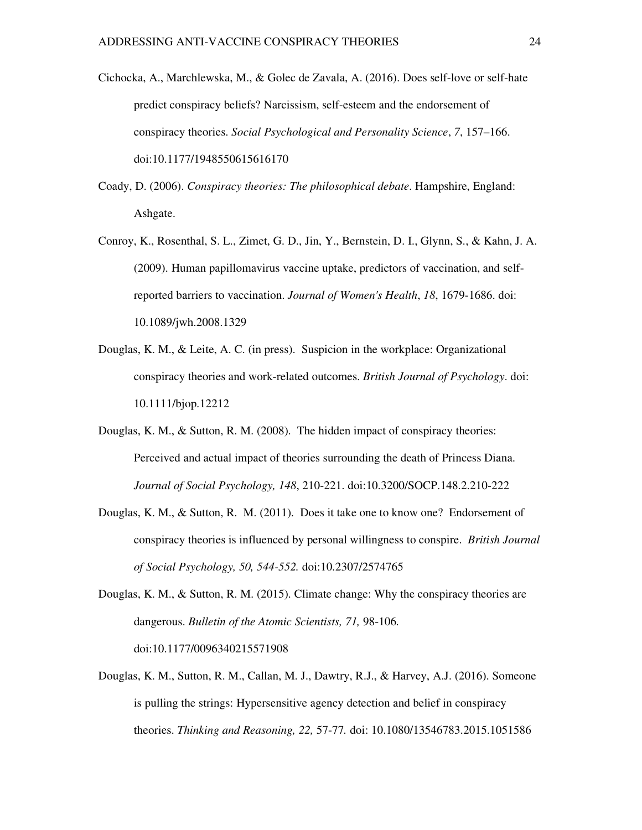- Cichocka, A., Marchlewska, M., & Golec de Zavala, A. (2016). Does self-love or self-hate predict conspiracy beliefs? Narcissism, self-esteem and the endorsement of conspiracy theories. *Social Psychological and Personality Science*, *7*, 157–166. doi:10.1177/1948550615616170
- Coady, D. (2006). *Conspiracy theories: The philosophical debate*. Hampshire, England: Ashgate.
- Conroy, K., Rosenthal, S. L., Zimet, G. D., Jin, Y., Bernstein, D. I., Glynn, S., & Kahn, J. A. (2009). Human papillomavirus vaccine uptake, predictors of vaccination, and selfreported barriers to vaccination. *Journal of Women's Health*, *18*, 1679-1686. doi: 10.1089/jwh.2008.1329
- Douglas, K. M., & Leite, A. C. (in press). Suspicion in the workplace: Organizational conspiracy theories and work-related outcomes. *British Journal of Psychology*. doi: 10.1111/bjop.12212
- Douglas, K. M., & Sutton, R. M. (2008). The hidden impact of conspiracy theories: Perceived and actual impact of theories surrounding the death of Princess Diana. *Journal of Social Psychology, 148*, 210-221. doi:10.3200/SOCP.148.2.210-222
- Douglas, K. M., & Sutton, R. M. (2011). Does it take one to know one? Endorsement of conspiracy theories is influenced by personal willingness to conspire. *British Journal of Social Psychology, 50, 544-552.* doi:10.2307/2574765
- Douglas, K. M., & Sutton, R. M. (2015). Climate change: Why the conspiracy theories are dangerous. *Bulletin of the Atomic Scientists, 71,* 98-106*.*  doi:10.1177/0096340215571908
- Douglas, K. M., Sutton, R. M., Callan, M. J., Dawtry, R.J., & Harvey, A.J. (2016). Someone is pulling the strings: Hypersensitive agency detection and belief in conspiracy theories. *Thinking and Reasoning, 22,* 57-77*.* doi: 10.1080/13546783.2015.1051586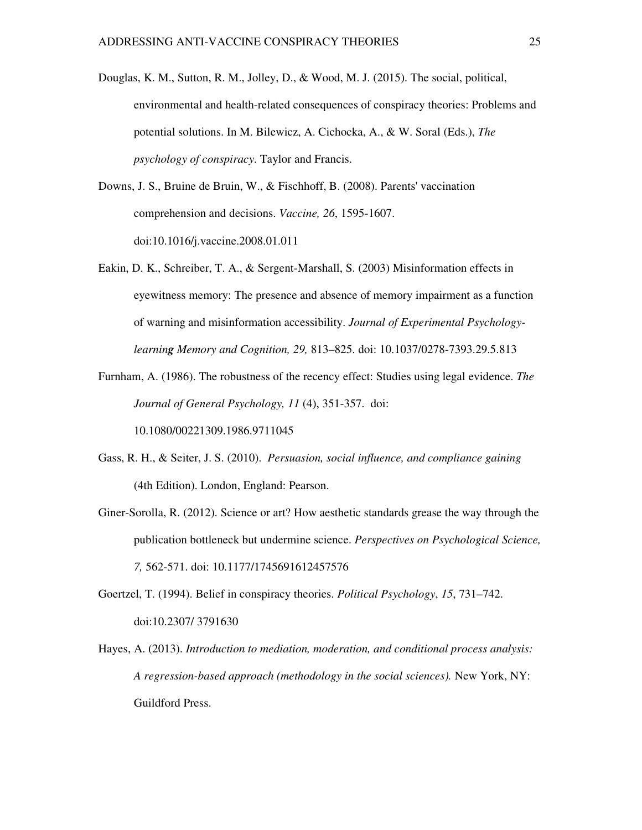- Douglas, K. M., Sutton, R. M., Jolley, D., & Wood, M. J. (2015). The social, political, environmental and health-related consequences of conspiracy theories: Problems and potential solutions. In M. Bilewicz, A. Cichocka, A., & W. Soral (Eds.), *The psychology of conspiracy*. Taylor and Francis.
- Downs, J. S., Bruine de Bruin, W., & Fischhoff, B. (2008). Parents' vaccination comprehension and decisions. *Vaccine, 26*, 1595-1607. doi:10.1016/j.vaccine.2008.01.011
- Eakin, D. K., Schreiber, T. A., & Sergent-Marshall, S. (2003) Misinformation effects in eyewitness memory: The presence and absence of memory impairment as a function of warning and misinformation accessibility. *Journal of Experimental Psychologylearning Memory and Cognition, 29,* 813–825. doi: 10.1037/0278-7393.29.5.813
- Furnham, A. (1986). The robustness of the recency effect: Studies using legal evidence. *The Journal of General Psychology, 11* (4), 351-357. doi: 10.1080/00221309.1986.9711045
- Gass, R. H., & Seiter, J. S. (2010). *Persuasion, social influence, and compliance gaining* (4th Edition). London, England: Pearson.
- Giner-Sorolla, R. (2012). Science or art? How aesthetic standards grease the way through the publication bottleneck but undermine science. *Perspectives on Psychological Science, 7,* 562-571. doi: 10.1177/1745691612457576
- Goertzel, T. (1994). Belief in conspiracy theories. *Political Psychology*, *15*, 731–742. doi:10.2307/ 3791630
- Hayes, A. (2013). *Introduction to mediation, moderation, and conditional process analysis: A regression-based approach (methodology in the social sciences).* New York, NY: Guildford Press.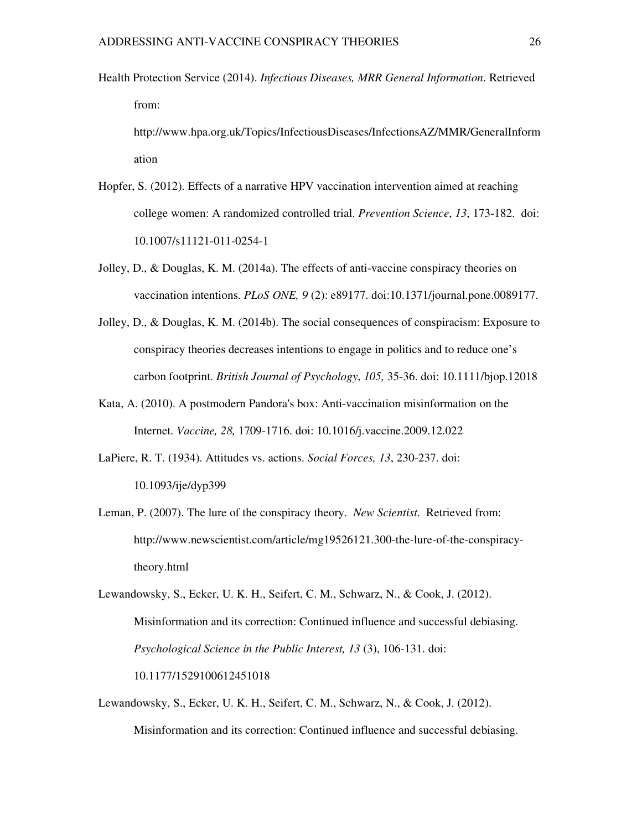Health Protection Service (2014). *Infectious Diseases, MRR General Information*. Retrieved from:

http://www.hpa.org.uk/Topics/InfectiousDiseases/InfectionsAZ/MMR/GeneralInform ation

- Hopfer, S. (2012). Effects of a narrative HPV vaccination intervention aimed at reaching college women: A randomized controlled trial. *Prevention Science*, *13*, 173-182. doi: 10.1007/s11121-011-0254-1
- Jolley, D., & Douglas, K. M. (2014a). The effects of anti-vaccine conspiracy theories on vaccination intentions. *PLoS ONE, 9* (2): e89177. doi:10.1371/journal.pone.0089177.
- Jolley, D., & Douglas, K. M. (2014b). The social consequences of conspiracism: Exposure to conspiracy theories decreases intentions to engage in politics and to reduce one's carbon footprint. *British Journal of Psychology*, *105,* 35-36. doi: 10.1111/bjop.12018
- Kata, A. (2010). A postmodern Pandora's box: Anti-vaccination misinformation on the Internet. *Vaccine, 28,* 1709-1716. doi: 10.1016/j.vaccine.2009.12.022
- LaPiere, R. T. (1934). Attitudes vs. actions. *Social Forces, 13*, 230-237. doi: 10.1093/ije/dyp399
- Leman, P. (2007). The lure of the conspiracy theory. *New Scientist*. Retrieved from: http://www.newscientist.com/article/mg19526121.300-the-lure-of-the-conspiracytheory.html

Lewandowsky, S., Ecker, U. K. H., Seifert, C. M., Schwarz, N., & Cook, J. (2012). Misinformation and its correction: Continued influence and successful debiasing. *Psychological Science in the Public Interest, 13* (3), 106-131. doi: 10.1177/1529100612451018

Lewandowsky, S., Ecker, U. K. H., Seifert, C. M., Schwarz, N., & Cook, J. (2012). Misinformation and its correction: Continued influence and successful debiasing.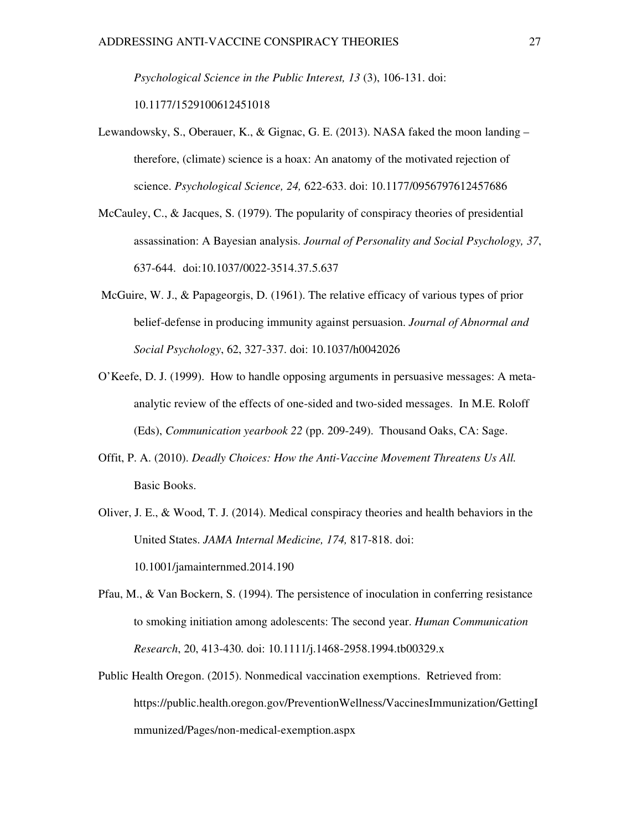*Psychological Science in the Public Interest, 13* (3), 106-131. doi: 10.1177/1529100612451018

- Lewandowsky, S., Oberauer, K., & Gignac, G. E. (2013). NASA faked the moon landing therefore, (climate) science is a hoax: An anatomy of the motivated rejection of science. *Psychological Science, 24,* 622-633. doi: 10.1177/0956797612457686
- McCauley, C., & Jacques, S. (1979). The popularity of conspiracy theories of presidential assassination: A Bayesian analysis. *Journal of Personality and Social Psychology, 37*, 637-644. doi:10.1037/0022-3514.37.5.637
- McGuire, W. J., & Papageorgis, D. (1961). The relative efficacy of various types of prior belief-defense in producing immunity against persuasion. *Journal of Abnormal and Social Psychology*, 62, 327-337. doi: 10.1037/h0042026
- O'Keefe, D. J. (1999). How to handle opposing arguments in persuasive messages: A metaanalytic review of the effects of one-sided and two-sided messages. In M.E. Roloff (Eds), *Communication yearbook 22* (pp. 209-249). Thousand Oaks, CA: Sage.
- Offit, P. A. (2010). *Deadly Choices: How the Anti-Vaccine Movement Threatens Us All.*  Basic Books.
- Oliver, J. E., & Wood, T. J. (2014). Medical conspiracy theories and health behaviors in the United States. *JAMA Internal Medicine, 174,* 817-818. doi: 10.1001/jamainternmed.2014.190
- Pfau, M., & Van Bockern, S. (1994). The persistence of inoculation in conferring resistance to smoking initiation among adolescents: The second year. *Human Communication Research*, 20, 413-430. doi: 10.1111/j.1468-2958.1994.tb00329.x
- Public Health Oregon. (2015). Nonmedical vaccination exemptions. Retrieved from: https://public.health.oregon.gov/PreventionWellness/VaccinesImmunization/GettingI mmunized/Pages/non-medical-exemption.aspx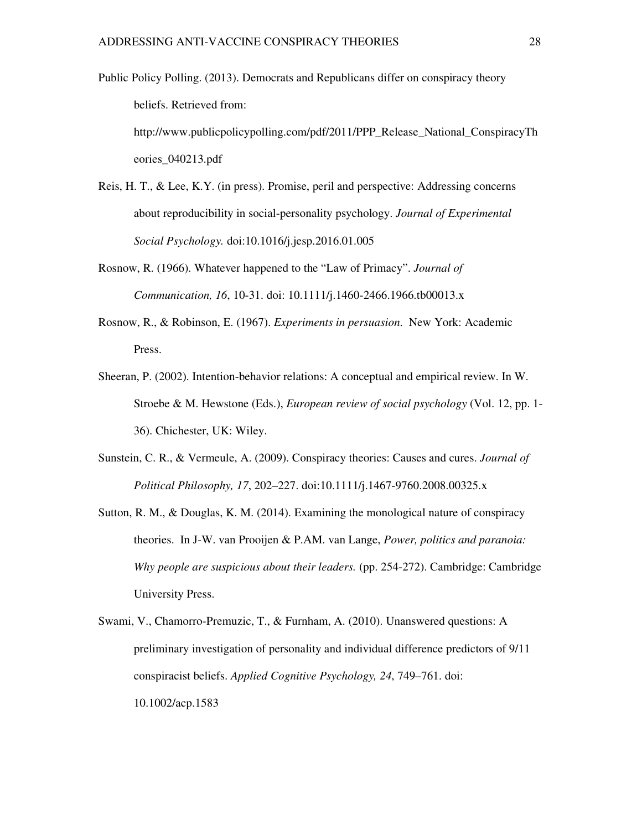- Public Policy Polling. (2013). Democrats and Republicans differ on conspiracy theory beliefs. Retrieved from: http://www.publicpolicypolling.com/pdf/2011/PPP\_Release\_National\_ConspiracyTh eories\_040213.pdf
- Reis, H. T., & Lee, K.Y. (in press). Promise, peril and perspective: Addressing concerns about reproducibility in social-personality psychology. *Journal of Experimental Social Psychology.* doi:10.1016/j.jesp.2016.01.005
- Rosnow, R. (1966). Whatever happened to the "Law of Primacy". *Journal of Communication, 16*, 10-31. doi: 10.1111/j.1460-2466.1966.tb00013.x
- Rosnow, R., & Robinson, E. (1967). *Experiments in persuasion*. New York: Academic Press.
- Sheeran, P. (2002). Intention-behavior relations: A conceptual and empirical review. In W. Stroebe & M. Hewstone (Eds.), *European review of social psychology* (Vol. 12, pp. 1- 36). Chichester, UK: Wiley.
- Sunstein, C. R., & Vermeule, A. (2009). Conspiracy theories: Causes and cures. *Journal of Political Philosophy, 17*, 202–227. doi:10.1111/j.1467-9760.2008.00325.x
- Sutton, R. M., & Douglas, K. M. (2014). Examining the monological nature of conspiracy theories. In J-W. van Prooijen & P.AM. van Lange, *Power, politics and paranoia: Why people are suspicious about their leaders.* (pp. 254-272). Cambridge: Cambridge University Press.
- Swami, V., Chamorro-Premuzic, T., & Furnham, A. (2010). Unanswered questions: A preliminary investigation of personality and individual difference predictors of 9/11 conspiracist beliefs. *Applied Cognitive Psychology, 24*, 749–761. doi: 10.1002/acp.1583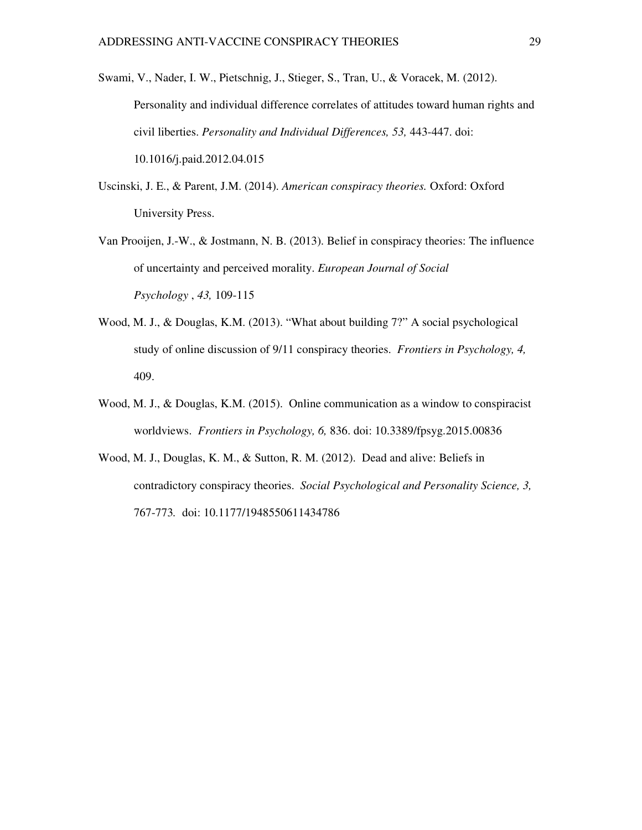- Swami, V., Nader, I. W., Pietschnig, J., Stieger, S., Tran, U., & Voracek, M. (2012). Personality and individual difference correlates of attitudes toward human rights and civil liberties. *Personality and Individual Differences, 53,* 443-447. doi: 10.1016/j.paid.2012.04.015
- Uscinski, J. E., & Parent, J.M. (2014). *American conspiracy theories.* Oxford: Oxford University Press.
- Van Prooijen, J.-W., & Jostmann, N. B. (2013). Belief in conspiracy theories: The influence of uncertainty and perceived morality. *European Journal of Social Psychology* , *43,* 109-115
- Wood, M. J., & Douglas, K.M. (2013). "What about building 7?" A social psychological study of online discussion of 9/11 conspiracy theories. *Frontiers in Psychology, 4,*  409.
- Wood, M. J., & Douglas, K.M. (2015). Online communication as a window to conspiracist worldviews. *Frontiers in Psychology, 6,* 836. doi: 10.3389/fpsyg.2015.00836
- Wood, M. J., Douglas, K. M., & Sutton, R. M. (2012). Dead and alive: Beliefs in contradictory conspiracy theories. *Social Psychological and Personality Science, 3,*  767-773*.* doi: 10.1177/1948550611434786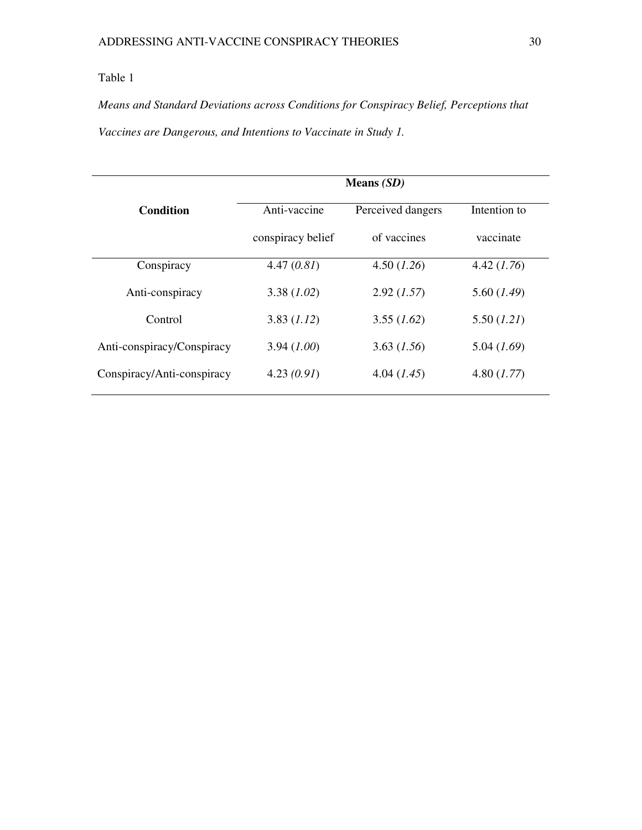# Table 1

*Means and Standard Deviations across Conditions for Conspiracy Belief, Perceptions that Vaccines are Dangerous, and Intentions to Vaccinate in Study 1.* 

|                            | Means $(SD)$      |                   |              |  |
|----------------------------|-------------------|-------------------|--------------|--|
| <b>Condition</b>           | Anti-vaccine      | Perceived dangers | Intention to |  |
|                            | conspiracy belief | of vaccines       | vaccinate    |  |
| Conspiracy                 | 4.47(0.81)        | 4.50(1.26)        | 4.42(1.76)   |  |
| Anti-conspiracy            | 3.38(1.02)        | 2.92(1.57)        | 5.60 (1.49)  |  |
| Control                    | 3.83(1.12)        | 3.55(1.62)        | 5.50 (1.21)  |  |
| Anti-conspiracy/Conspiracy | 3.94(1.00)        | 3.63(1.56)        | 5.04(1.69)   |  |
| Conspiracy/Anti-conspiracy | 4.23(0.91)        | 4.04(1.45)        | 4.80 (1.77)  |  |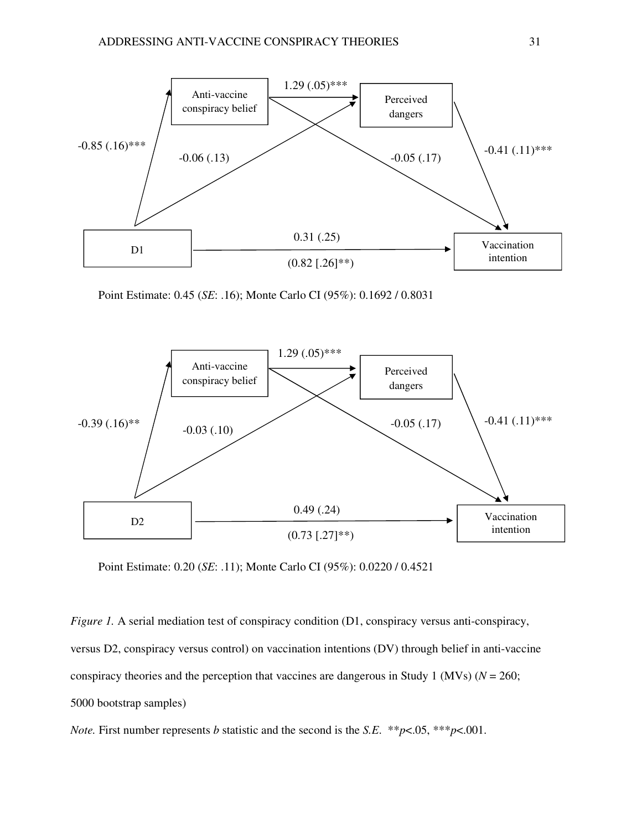

Point Estimate: 0.45 (*SE*: .16); Monte Carlo CI (95%): 0.1692 / 0.8031



Point Estimate: 0.20 (*SE*: .11); Monte Carlo CI (95%): 0.0220 / 0.4521

*Figure 1.* A serial mediation test of conspiracy condition (D1, conspiracy versus anti-conspiracy, versus D2, conspiracy versus control) on vaccination intentions (DV) through belief in anti-vaccine conspiracy theories and the perception that vaccines are dangerous in Study 1 (MVs) (*N* = 260; 5000 bootstrap samples)

*Note.* First number represents *b* statistic and the second is the *S.E*. \*\**p*<.05, \*\*\**p*<.001.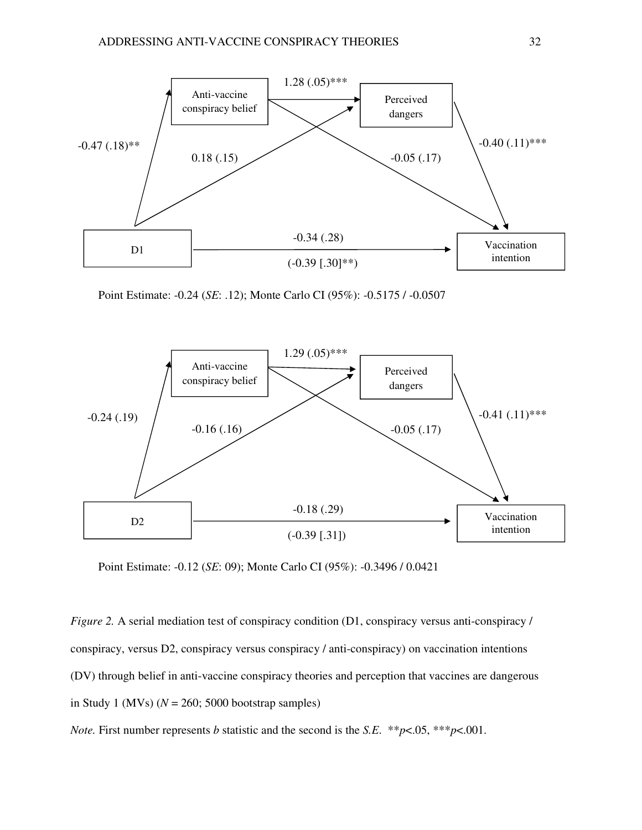

Point Estimate: -0.24 (*SE*: .12); Monte Carlo CI (95%): -0.5175 / -0.0507



Point Estimate: -0.12 (*SE*: 09); Monte Carlo CI (95%): -0.3496 / 0.0421

*Figure 2.* A serial mediation test of conspiracy condition (D1, conspiracy versus anti-conspiracy / conspiracy, versus D2, conspiracy versus conspiracy / anti-conspiracy) on vaccination intentions (DV) through belief in anti-vaccine conspiracy theories and perception that vaccines are dangerous in Study 1 (MVs)  $(N = 260; 5000$  bootstrap samples)

*Note.* First number represents *b* statistic and the second is the *S.E*. \*\**p*<.05, \*\*\**p*<.001.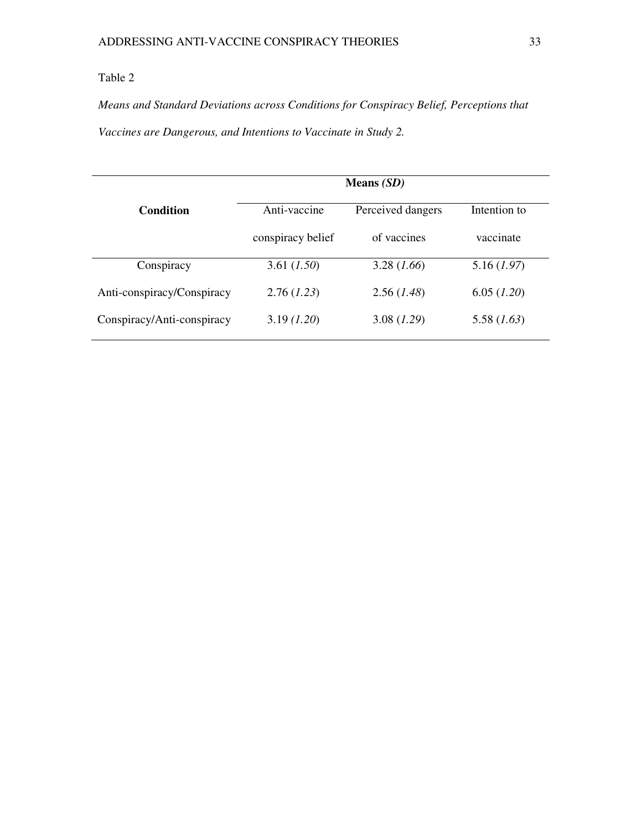# Table 2

*Means and Standard Deviations across Conditions for Conspiracy Belief, Perceptions that Vaccines are Dangerous, and Intentions to Vaccinate in Study 2.* 

|                            | Means $(SD)$      |                   |              |
|----------------------------|-------------------|-------------------|--------------|
| <b>Condition</b>           | Anti-vaccine      | Perceived dangers | Intention to |
|                            | conspiracy belief | of vaccines       | vaccinate    |
| Conspiracy                 | 3.61 (1.50)       | 3.28(1.66)        | 5.16(1.97)   |
| Anti-conspiracy/Conspiracy | 2.76(1.23)        | 2.56(1.48)        | 6.05 (1.20)  |
| Conspiracy/Anti-conspiracy | 3.19(1.20)        | 3.08(1.29)        | 5.58(1.63)   |